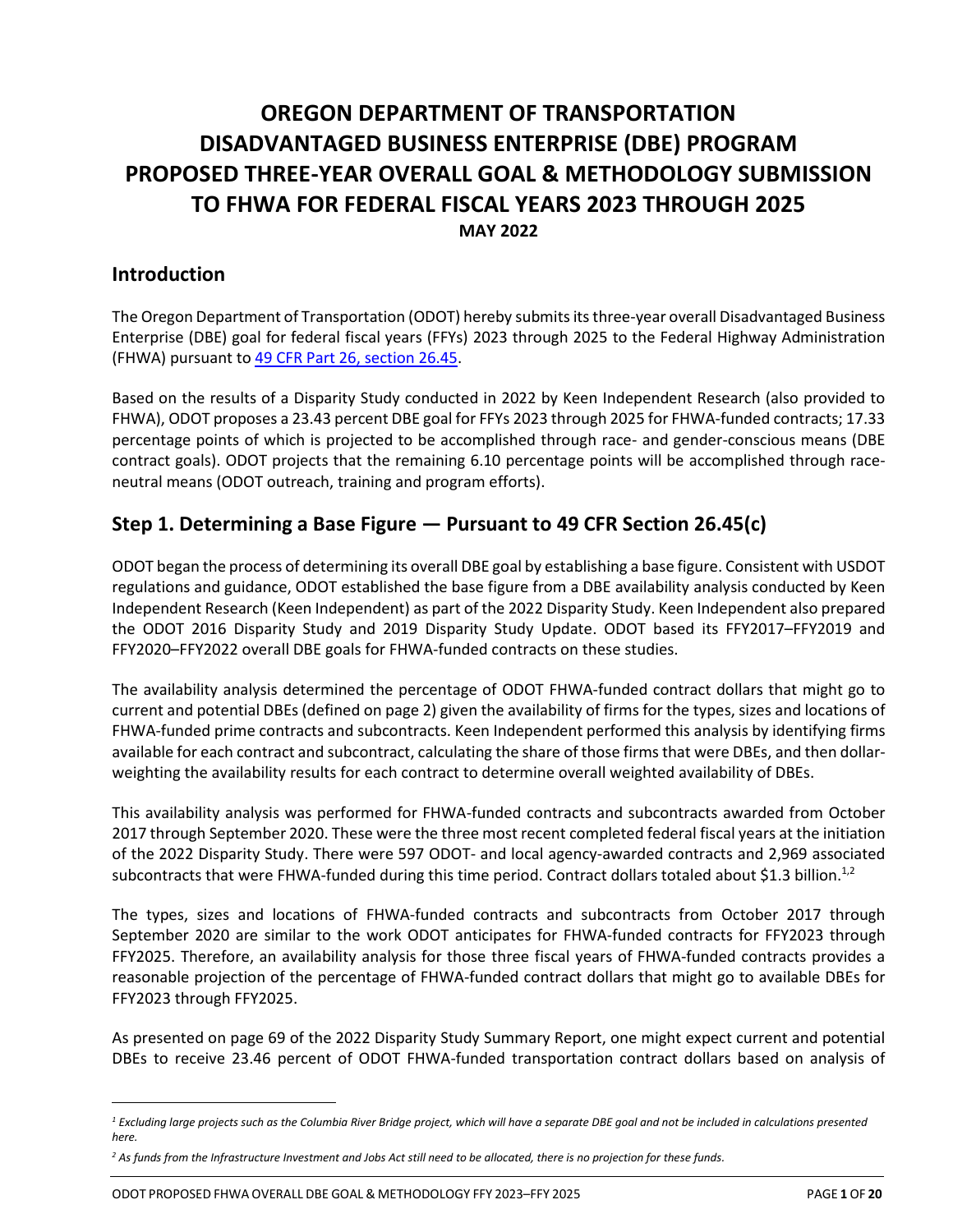# **OREGON DEPARTMENT OF TRANSPORTATION DISADVANTAGED BUSINESS ENTERPRISE (DBE) PROGRAM PROPOSED THREE-YEAR OVERALL GOAL & METHODOLOGY SUBMISSION TO FHWA FOR FEDERAL FISCAL YEARS 2023 THROUGH 2025 MAY 2022**

## **Introduction**

The Oregon Department of Transportation (ODOT) hereby submits itsthree-year overall Disadvantaged Business Enterprise (DBE) goal for federal fiscal years (FFYs) 2023 through 2025 to the Federal Highway Administration (FHWA) pursuant to [49 CFR Part 26,](http://www.ecfr.gov/cgi-bin/text-idx?SID=1e42c322845d8980b2412a266758da7a&node=49:1.0.1.1.20.3.18.3&rgn=div8) section 26.45.

Based on the results of a Disparity Study conducted in 2022 by Keen Independent Research (also provided to FHWA), ODOT proposes a 23.43 percent DBE goal for FFYs 2023 through 2025 for FHWA-funded contracts; 17.33 percentage points of which is projected to be accomplished through race- and gender-conscious means (DBE contract goals). ODOT projects that the remaining 6.10 percentage points will be accomplished through raceneutral means (ODOT outreach, training and program efforts).

## **Step 1. Determining a Base Figure — Pursuant to 49 CFR Section 26.45(c)**

ODOT began the process of determining its overall DBE goal by establishing a base figure. Consistent with USDOT regulations and guidance, ODOT established the base figure from a DBE availability analysis conducted by Keen Independent Research (Keen Independent) as part of the 2022 Disparity Study. Keen Independent also prepared the ODOT 2016 Disparity Study and 2019 Disparity Study Update. ODOT based its FFY2017–FFY2019 and FFY2020–FFY2022 overall DBE goals for FHWA-funded contracts on these studies.

The availability analysis determined the percentage of ODOT FHWA-funded contract dollars that might go to current and potential DBEs (defined on page 2) given the availability of firms for the types, sizes and locations of FHWA-funded prime contracts and subcontracts. Keen Independent performed this analysis by identifying firms available for each contract and subcontract, calculating the share of those firms that were DBEs, and then dollarweighting the availability results for each contract to determine overall weighted availability of DBEs.

This availability analysis was performed for FHWA-funded contracts and subcontracts awarded from October 2017 through September 2020. These were the three most recent completed federal fiscal years at the initiation of the 2022 Disparity Study. There were 597 ODOT- and local agency-awarded contracts and 2,969 associated subcontracts that were FHWA-funded during this time period. Contract dollars totaled about \$1.3 billion.<sup>1,2</sup>

The types, sizes and locations of FHWA-funded contracts and subcontracts from October 2017 through September 2020 are similar to the work ODOT anticipates for FHWA-funded contracts for FFY2023 through FFY2025. Therefore, an availability analysis for those three fiscal years of FHWA-funded contracts provides a reasonable projection of the percentage of FHWA-funded contract dollars that might go to available DBEs for FFY2023 through FFY2025.

As presented on page 69 of the 2022 Disparity Study Summary Report, one might expect current and potential DBEs to receive 23.46 percent of ODOT FHWA-funded transportation contract dollars based on analysis of

*<sup>1</sup> Excluding large projects such as the Columbia River Bridge project, which will have a separate DBE goal and not be included in calculations presented here.*

*<sup>2</sup> As funds from the Infrastructure Investment and Jobs Act still need to be allocated, there is no projection for these funds.*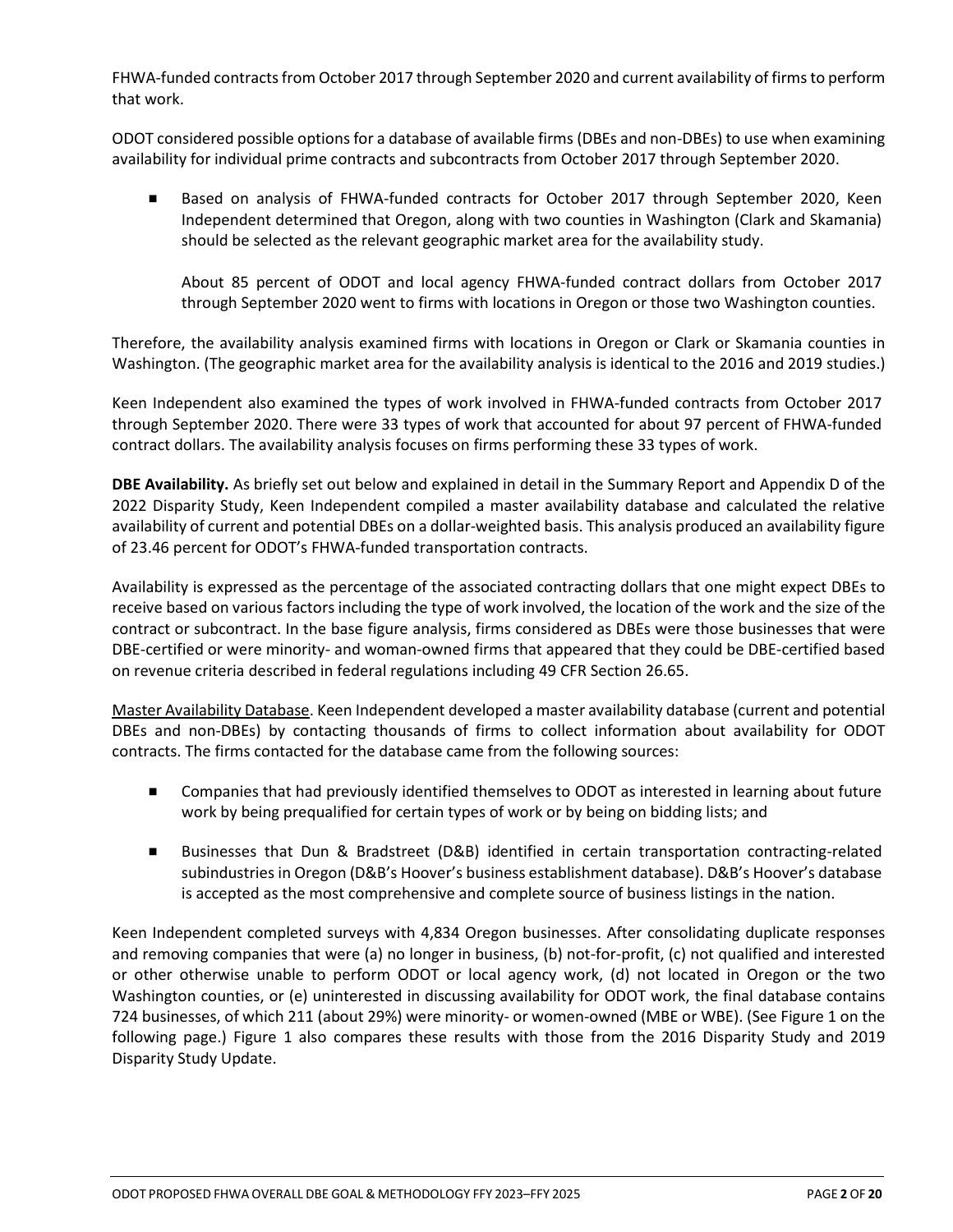FHWA-funded contracts from October 2017 through September 2020 and current availability of firms to perform that work.

ODOT considered possible options for a database of available firms (DBEs and non-DBEs) to use when examining availability for individual prime contracts and subcontracts from October 2017 through September 2020.

 Based on analysis of FHWA-funded contracts for October 2017 through September 2020, Keen Independent determined that Oregon, along with two counties in Washington (Clark and Skamania) should be selected as the relevant geographic market area for the availability study.

About 85 percent of ODOT and local agency FHWA-funded contract dollars from October 2017 through September 2020 went to firms with locations in Oregon or those two Washington counties.

Therefore, the availability analysis examined firms with locations in Oregon or Clark or Skamania counties in Washington. (The geographic market area for the availability analysis is identical to the 2016 and 2019 studies.)

Keen Independent also examined the types of work involved in FHWA-funded contracts from October 2017 through September 2020. There were 33 types of work that accounted for about 97 percent of FHWA-funded contract dollars. The availability analysis focuses on firms performing these 33 types of work.

**DBE Availability.** As briefly set out below and explained in detail in the Summary Report and Appendix D of the 2022 Disparity Study, Keen Independent compiled a master availability database and calculated the relative availability of current and potential DBEs on a dollar-weighted basis. This analysis produced an availability figure of 23.46 percent for ODOT's FHWA-funded transportation contracts.

Availability is expressed as the percentage of the associated contracting dollars that one might expect DBEs to receive based on various factors including the type of work involved, the location of the work and the size of the contract or subcontract. In the base figure analysis, firms considered as DBEs were those businesses that were DBE-certified or were minority- and woman-owned firms that appeared that they could be DBE-certified based on revenue criteria described in federal regulations including 49 CFR Section 26.65.

Master Availability Database. Keen Independent developed a master availability database (current and potential DBEs and non-DBEs) by contacting thousands of firms to collect information about availability for ODOT contracts. The firms contacted for the database came from the following sources:

- Companies that had previously identified themselves to ODOT as interested in learning about future work by being prequalified for certain types of work or by being on bidding lists; and
- Businesses that Dun & Bradstreet (D&B) identified in certain transportation contracting-related subindustries in Oregon (D&B's Hoover's business establishment database). D&B's Hoover's database is accepted as the most comprehensive and complete source of business listings in the nation.

Keen Independent completed surveys with 4,834 Oregon businesses. After consolidating duplicate responses and removing companies that were (a) no longer in business, (b) not-for-profit, (c) not qualified and interested or other otherwise unable to perform ODOT or local agency work, (d) not located in Oregon or the two Washington counties, or (e) uninterested in discussing availability for ODOT work, the final database contains 724 businesses, of which 211 (about 29%) were minority- or women-owned (MBE or WBE). (See Figure 1 on the following page.) Figure 1 also compares these results with those from the 2016 Disparity Study and 2019 Disparity Study Update.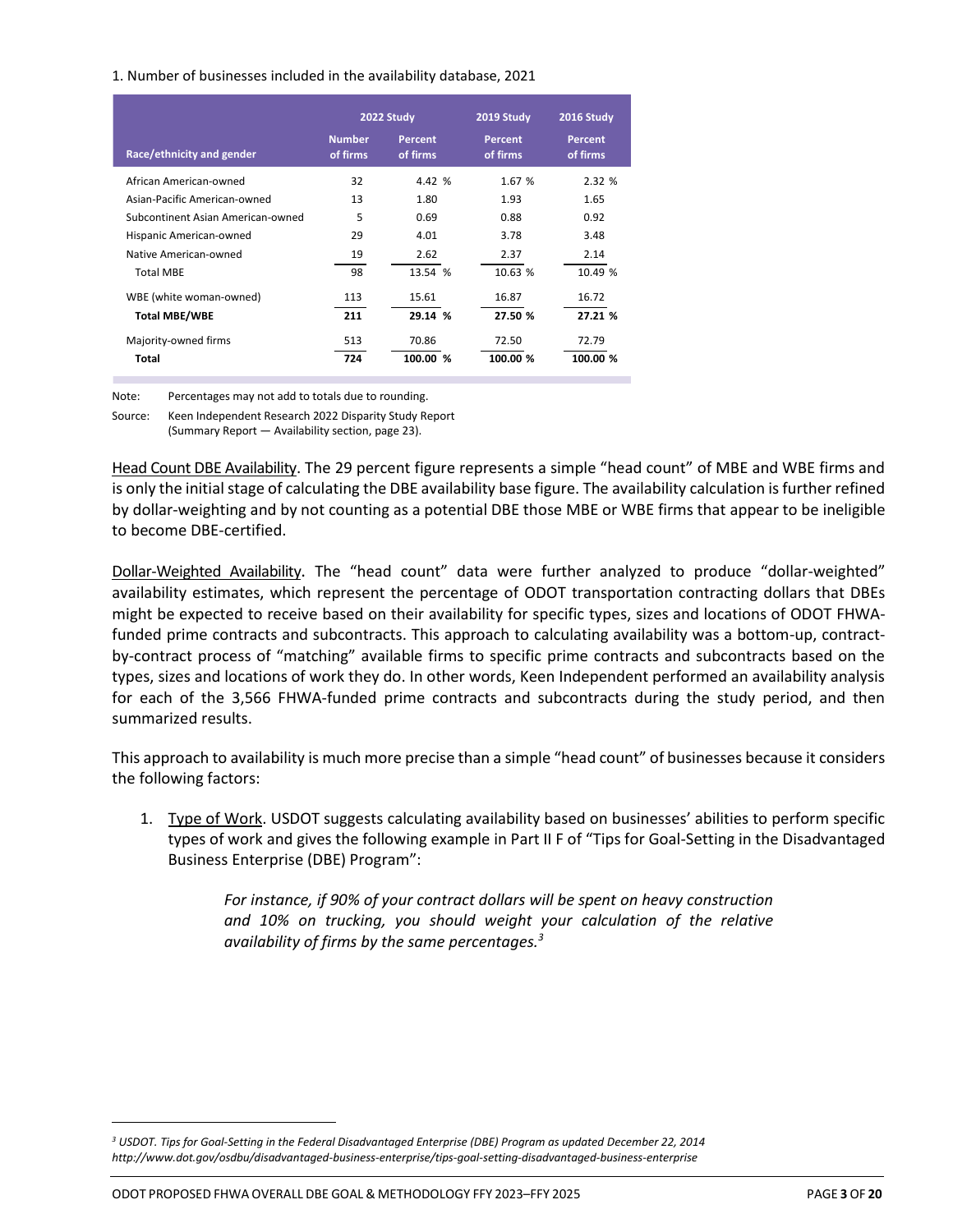#### 1. Number of businesses included in the availability database, 2021

|                                   |                           | 2022 Study          | 2019 Study                 | 2016 Study                 |
|-----------------------------------|---------------------------|---------------------|----------------------------|----------------------------|
| Race/ethnicity and gender         | <b>Number</b><br>of firms | Percent<br>of firms | <b>Percent</b><br>of firms | <b>Percent</b><br>of firms |
| African American-owned            | 32                        | 4.42 %              | 1.67 %                     | 2.32 %                     |
| Asian-Pacific American-owned      | 13                        | 1.80                | 1.93                       | 1.65                       |
| Subcontinent Asian American-owned | 5                         | 0.69                | 0.88                       | 0.92                       |
| Hispanic American-owned           | 29                        | 4.01                | 3.78                       | 3.48                       |
| Native American-owned             | 19                        | 2.62                | 2.37                       | 2.14                       |
| <b>Total MBE</b>                  | 98                        | 13.54 %             | 10.63 %                    | 10.49 %                    |
| WBE (white woman-owned)           | 113                       | 15.61               | 16.87                      | 16.72                      |
| <b>Total MBE/WBE</b>              | 211                       | 29.14 %             | 27.50 %                    | 27.21 %                    |
| Majority-owned firms              | 513                       | 70.86               | 72.50                      | 72.79                      |
| Total                             | 724                       | 100.00 %            | 100.00 %                   | 100.00 %                   |

Note: Percentages may not add to totals due to rounding.

Source: Keen Independent Research 2022 Disparity Study Report (Summary Report — Availability section, page 23).

Head Count DBE Availability. The 29 percent figure represents a simple "head count" of MBE and WBE firms and is only the initial stage of calculating the DBE availability base figure. The availability calculation is further refined by dollar-weighting and by not counting as a potential DBE those MBE or WBE firms that appear to be ineligible to become DBE-certified.

Dollar-Weighted Availability. The "head count" data were further analyzed to produce "dollar-weighted" availability estimates, which represent the percentage of ODOT transportation contracting dollars that DBEs might be expected to receive based on their availability for specific types, sizes and locations of ODOT FHWAfunded prime contracts and subcontracts. This approach to calculating availability was a bottom-up, contractby-contract process of "matching" available firms to specific prime contracts and subcontracts based on the types, sizes and locations of work they do. In other words, Keen Independent performed an availability analysis for each of the 3,566 FHWA-funded prime contracts and subcontracts during the study period, and then summarized results.

This approach to availability is much more precise than a simple "head count" of businesses because it considers the following factors:

1. Type of Work. USDOT suggests calculating availability based on businesses' abilities to perform specific types of work and gives the following example in Part II F of "Tips for Goal-Setting in the Disadvantaged Business Enterprise (DBE) Program":

> *For instance, if 90% of your contract dollars will be spent on heavy construction and 10% on trucking, you should weight your calculation of the relative availability of firms by the same percentages.<sup>3</sup>*

*<sup>3</sup> USDOT. Tips for Goal-Setting in the Federal Disadvantaged Enterprise (DBE) Program as updated December 22, 2014 http://www.dot.gov/osdbu/disadvantaged-business-enterprise/tips-goal-setting-disadvantaged-business-enterprise*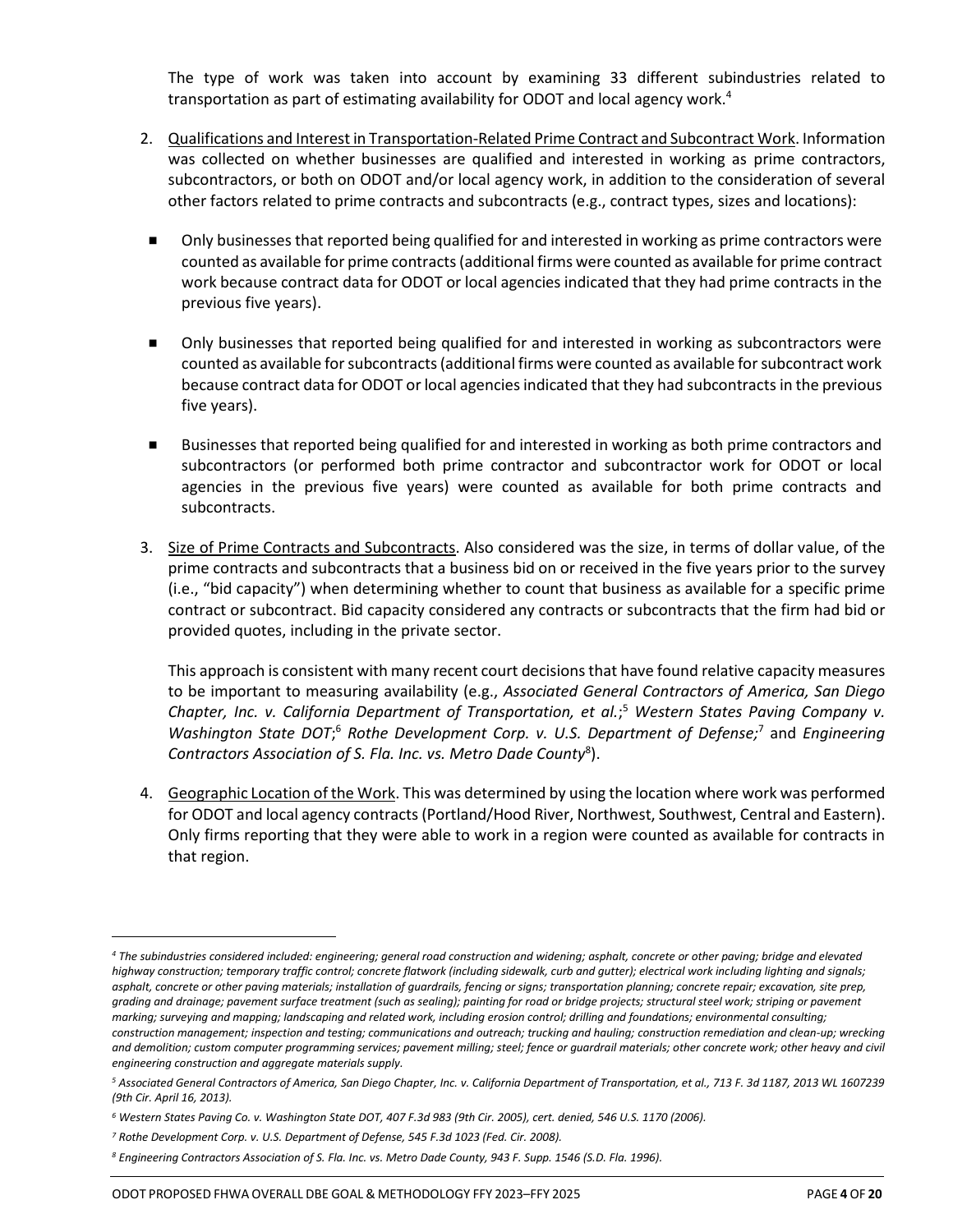The type of work was taken into account by examining 33 different subindustries related to transportation as part of estimating availability for ODOT and local agency work.<sup>4</sup>

- 2. Qualifications and Interest in Transportation-Related Prime Contract and Subcontract Work. Information was collected on whether businesses are qualified and interested in working as prime contractors, subcontractors, or both on ODOT and/or local agency work, in addition to the consideration of several other factors related to prime contracts and subcontracts (e.g., contract types, sizes and locations):
- Only businesses that reported being qualified for and interested in working as prime contractors were counted as available for prime contracts(additional firms were counted as available for prime contract work because contract data for ODOT or local agencies indicated that they had prime contracts in the previous five years).
- Only businesses that reported being qualified for and interested in working as subcontractors were counted as available for subcontracts (additional firms were counted as available for subcontract work because contract data for ODOT or local agencies indicated that they had subcontracts in the previous five years).
- Businesses that reported being qualified for and interested in working as both prime contractors and subcontractors (or performed both prime contractor and subcontractor work for ODOT or local agencies in the previous five years) were counted as available for both prime contracts and subcontracts.
- 3. Size of Prime Contracts and Subcontracts. Also considered was the size, in terms of dollar value, of the prime contracts and subcontracts that a business bid on or received in the five years prior to the survey (i.e., "bid capacity") when determining whether to count that business as available for a specific prime contract or subcontract. Bid capacity considered any contracts or subcontracts that the firm had bid or provided quotes, including in the private sector.

This approach is consistent with many recent court decisions that have found relative capacity measures to be important to measuring availability (e.g., *Associated General Contractors of America, San Diego Chapter, Inc. v. California Department of Transportation, et al.*; <sup>5</sup> *Western States Paving Company v. Washington State DOT*; <sup>6</sup> *Rothe Development Corp. v. U.S. Department of Defense;*<sup>7</sup> and *Engineering Contractors Association of S. Fla. Inc. vs. Metro Dade County*<sup>8</sup> ).

4. Geographic Location of the Work. This was determined by using the location where work was performed for ODOT and local agency contracts (Portland/Hood River, Northwest, Southwest, Central and Eastern). Only firms reporting that they were able to work in a region were counted as available for contracts in that region.

*<sup>4</sup> The subindustries considered included: engineering; general road construction and widening; asphalt, concrete or other paving; bridge and elevated highway construction; temporary traffic control; concrete flatwork (including sidewalk, curb and gutter); electrical work including lighting and signals; asphalt, concrete or other paving materials; installation of guardrails, fencing or signs; transportation planning; concrete repair; excavation, site prep, grading and drainage; pavement surface treatment (such as sealing); painting for road or bridge projects; structural steel work; striping or pavement marking; surveying and mapping; landscaping and related work, including erosion control; drilling and foundations; environmental consulting; construction management; inspection and testing; communications and outreach; trucking and hauling; construction remediation and clean-up; wrecking and demolition; custom computer programming services; pavement milling; steel; fence or guardrail materials; other concrete work; other heavy and civil engineering construction and aggregate materials supply.*

*<sup>5</sup> Associated General Contractors of America, San Diego Chapter, Inc. v. California Department of Transportation, et al., 713 F. 3d 1187, 2013 WL 1607239 (9th Cir. April 16, 2013).*

*<sup>6</sup> Western States Paving Co. v. Washington State DOT, 407 F.3d 983 (9th Cir. 2005), cert. denied, 546 U.S. 1170 (2006).*

*<sup>7</sup> Rothe Development Corp. v. U.S. Department of Defense, 545 F.3d 1023 (Fed. Cir. 2008).*

*<sup>8</sup> Engineering Contractors Association of S. Fla. Inc. vs. Metro Dade County, 943 F. Supp. 1546 (S.D. Fla. 1996).*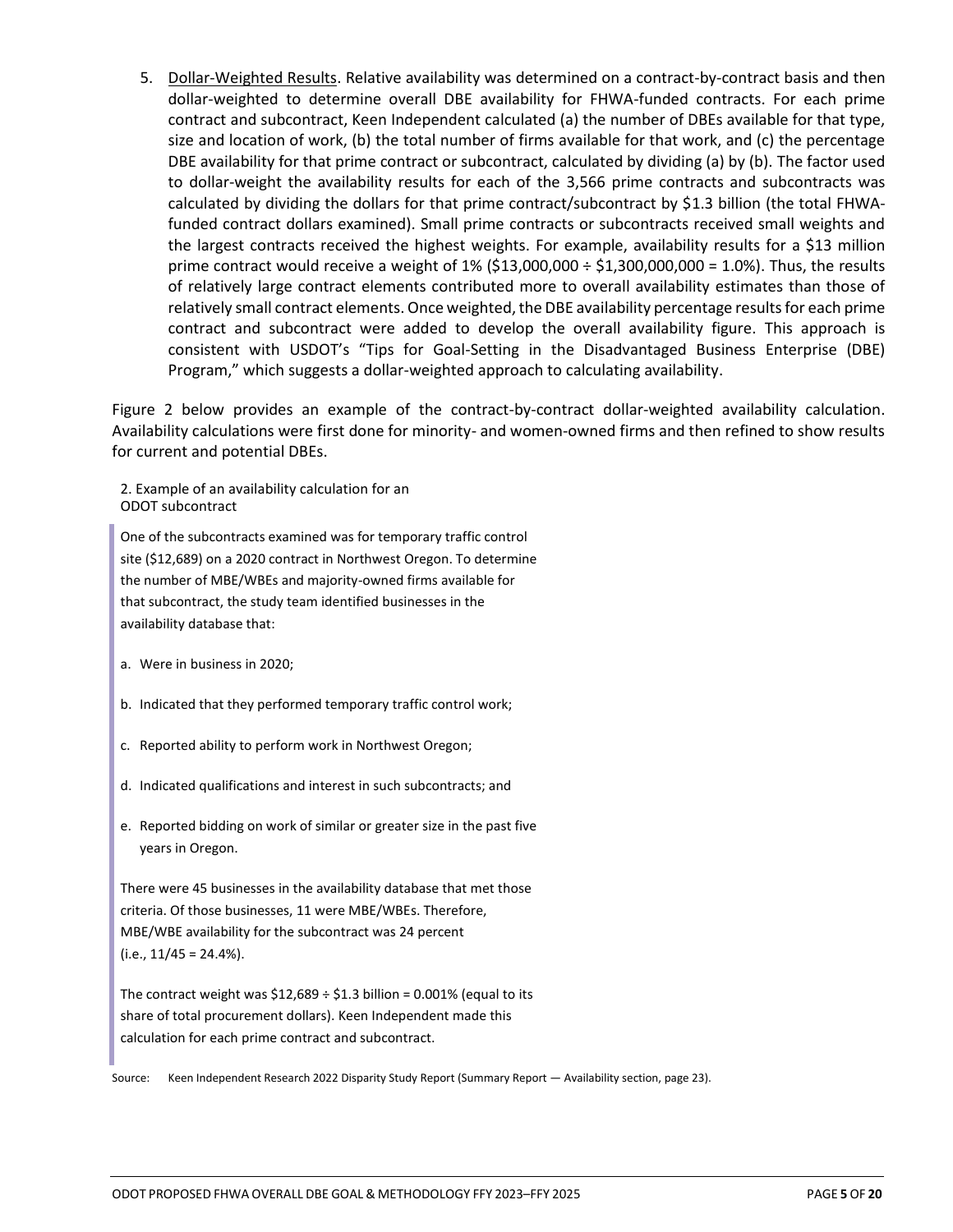5. Dollar-Weighted Results. Relative availability was determined on a contract-by-contract basis and then dollar-weighted to determine overall DBE availability for FHWA-funded contracts. For each prime contract and subcontract, Keen Independent calculated (a) the number of DBEs available for that type, size and location of work, (b) the total number of firms available for that work, and (c) the percentage DBE availability for that prime contract or subcontract, calculated by dividing (a) by (b). The factor used to dollar-weight the availability results for each of the 3,566 prime contracts and subcontracts was calculated by dividing the dollars for that prime contract/subcontract by \$1.3 billion (the total FHWAfunded contract dollars examined). Small prime contracts or subcontracts received small weights and the largest contracts received the highest weights. For example, availability results for a \$13 million prime contract would receive a weight of  $1\%$  (\$13,000,000 ÷ \$1,300,000,000 = 1.0%). Thus, the results of relatively large contract elements contributed more to overall availability estimates than those of relatively small contract elements. Once weighted, the DBE availability percentage results for each prime contract and subcontract were added to develop the overall availability figure. This approach is consistent with USDOT's "Tips for Goal-Setting in the Disadvantaged Business Enterprise (DBE) Program," which suggests a dollar-weighted approach to calculating availability.

Figure 2 below provides an example of the contract-by-contract dollar-weighted availability calculation. Availability calculations were first done for minority- and women-owned firms and then refined to show results for current and potential DBEs.

2. Example of an availability calculation for an ODOT subcontract

One of the subcontracts examined was for temporary traffic control site (\$12,689) on a 2020 contract in Northwest Oregon. To determine the number of MBE/WBEs and majority-owned firms available for that subcontract, the study team identified businesses in the availability database that:

- a. Were in business in 2020;
- b. Indicated that they performed temporary traffic control work;
- c. Reported ability to perform work in Northwest Oregon;
- d. Indicated qualifications and interest in such subcontracts; and
- e. Reported bidding on work of similar or greater size in the past five years in Oregon.

There were 45 businesses in the availability database that met those criteria. Of those businesses, 11 were MBE/WBEs. Therefore, MBE/WBE availability for the subcontract was 24 percent  $(i.e., 11/45 = 24.4\%).$ 

The contract weight was  $$12,689 \div $1.3$  billion = 0.001% (equal to its share of total procurement dollars). Keen Independent made this calculation for each prime contract and subcontract.

Source: Keen Independent Research 2022 Disparity Study Report (Summary Report — Availability section, page 23).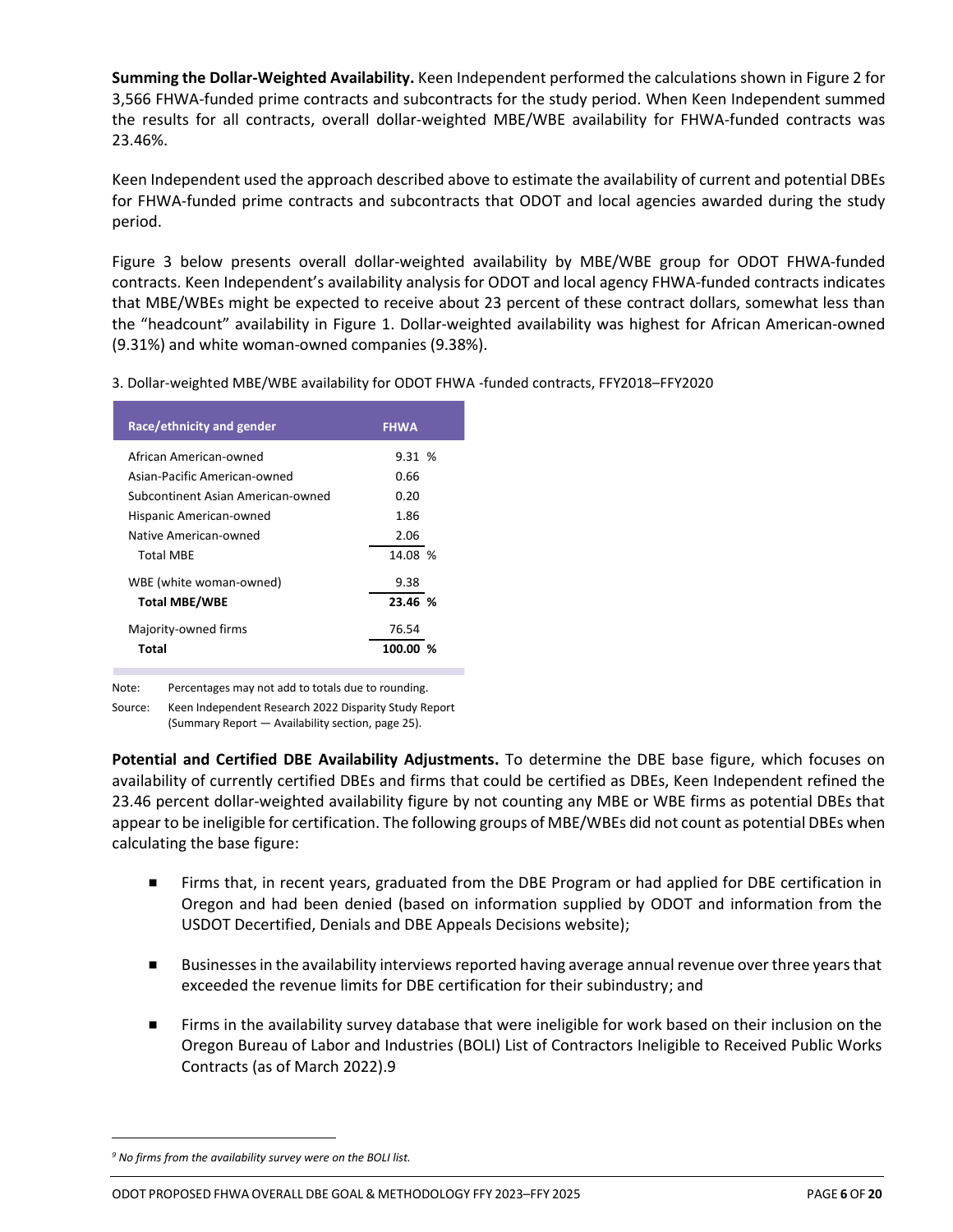**Summing the Dollar-Weighted Availability.** Keen Independent performed the calculations shown in Figure 2 for 3,566 FHWA-funded prime contracts and subcontracts for the study period. When Keen Independent summed the results for all contracts, overall dollar-weighted MBE/WBE availability for FHWA-funded contracts was 23.46%.

Keen Independent used the approach described above to estimate the availability of current and potential DBEs for FHWA-funded prime contracts and subcontracts that ODOT and local agencies awarded during the study period.

Figure 3 below presents overall dollar-weighted availability by MBE/WBE group for ODOT FHWA-funded contracts. Keen Independent's availability analysis for ODOT and local agency FHWA-funded contracts indicates that MBE/WBEs might be expected to receive about 23 percent of these contract dollars, somewhat less than the "headcount" availability in Figure 1. Dollar-weighted availability was highest for African American-owned (9.31%) and white woman-owned companies (9.38%).

3. Dollar-weighted MBE/WBE availability for ODOT FHWA -funded contracts, FFY2018–FFY2020

| Race/ethnicity and gender         | <b>FHWA</b> |
|-----------------------------------|-------------|
| African American-owned            | 9.31%       |
| Asian-Pacific American-owned      | 0.66        |
| Subcontinent Asian American-owned | 0.20        |
| Hispanic American-owned           | 1.86        |
| Native American-owned             | 2.06        |
| <b>Total MBE</b>                  | 14.08 %     |
| WBE (white woman-owned)           | 9.38        |
| <b>Total MBE/WBE</b>              | 23.46 %     |
| Majority-owned firms              | 76.54       |
| Total                             | 100.00 %    |
|                                   |             |

Note: Percentages may not add to totals due to rounding.

Source: Keen Independent Research 2022 Disparity Study Report

(Summary Report — Availability section, page 25).

**Potential and Certified DBE Availability Adjustments.** To determine the DBE base figure, which focuses on availability of currently certified DBEs and firms that could be certified as DBEs, Keen Independent refined the 23.46 percent dollar-weighted availability figure by not counting any MBE or WBE firms as potential DBEs that appear to be ineligible for certification. The following groups of MBE/WBEs did not count as potential DBEs when calculating the base figure:

- Firms that, in recent years, graduated from the DBE Program or had applied for DBE certification in Oregon and had been denied (based on information supplied by ODOT and information from the USDOT Decertified, Denials and DBE Appeals Decisions website);
- Businesses in the availability interviews reported having average annual revenue over three years that exceeded the revenue limits for DBE certification for their subindustry; and
- Firms in the availability survey database that were ineligible for work based on their inclusion on the Oregon Bureau of Labor and Industries (BOLI) List of Contractors Ineligible to Received Public Works Contracts (as of March 2022).9

*<sup>9</sup> No firms from the availability survey were on the BOLI list.*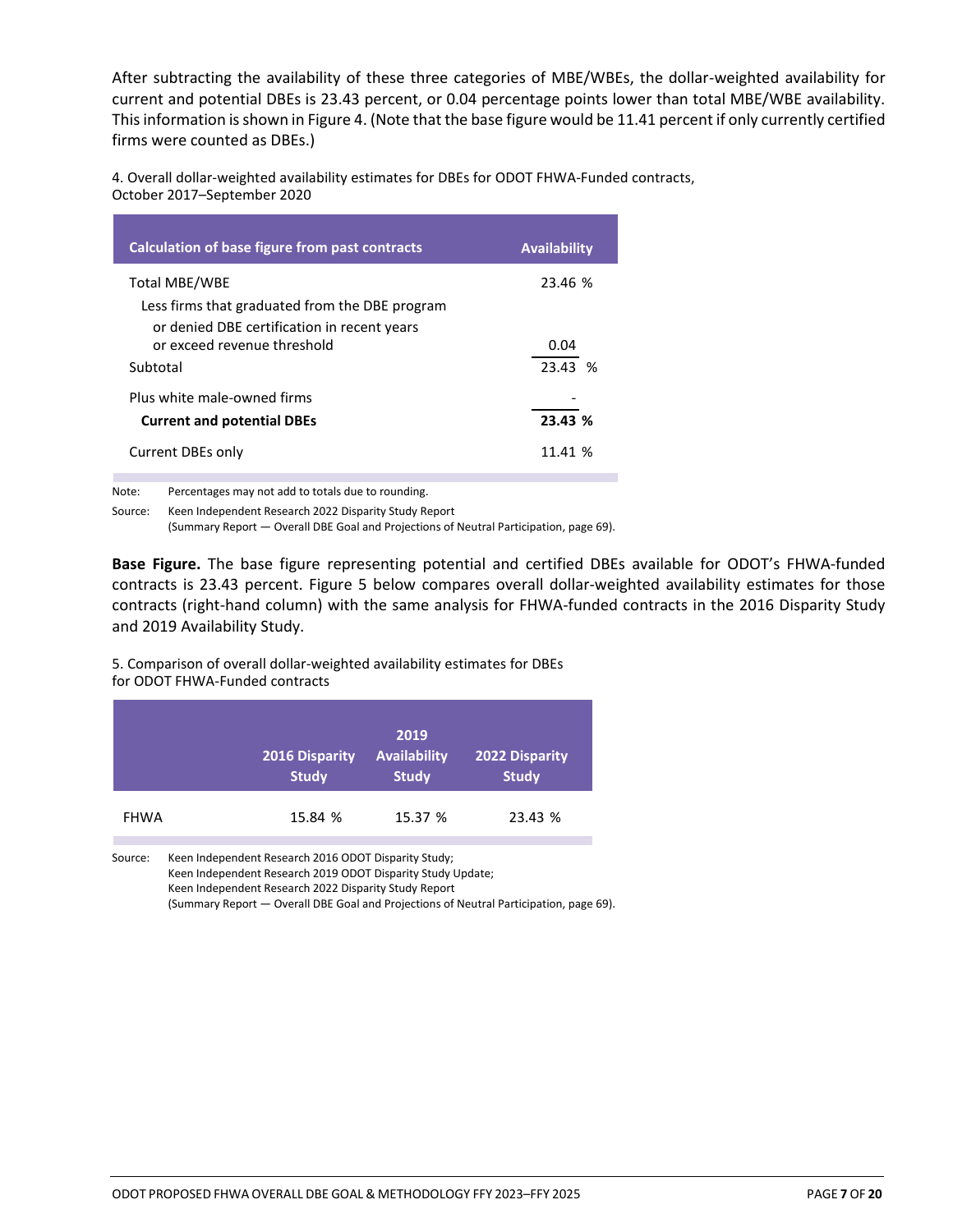After subtracting the availability of these three categories of MBE/WBEs, the dollar-weighted availability for current and potential DBEs is 23.43 percent, or 0.04 percentage points lower than total MBE/WBE availability. This information is shown in Figure 4. (Note that the base figure would be 11.41 percent if only currently certified firms were counted as DBEs.)

4. Overall dollar-weighted availability estimates for DBEs for ODOT FHWA-Funded contracts, October 2017–September 2020

| Calculation of base figure from past contracts                                         | <b>Availability</b> |
|----------------------------------------------------------------------------------------|---------------------|
| Total MBE/WBE<br>Less firms that graduated from the DBE program                        | 23.46 %             |
| or denied DBE certification in recent years<br>or exceed revenue threshold<br>Subtotal | 0.04<br>23.43 %     |
| Plus white male-owned firms<br><b>Current and potential DBEs</b>                       | 23.43 %             |
| Current DBEs only                                                                      | 11.41 %             |

Note: Percentages may not add to totals due to rounding.

Source: Keen Independent Research 2022 Disparity Study Report

(Summary Report — Overall DBE Goal and Projections of Neutral Participation, page 69).

**Base Figure.** The base figure representing potential and certified DBEs available for ODOT's FHWA-funded contracts is 23.43 percent. Figure 5 below compares overall dollar-weighted availability estimates for those contracts (right-hand column) with the same analysis for FHWA-funded contracts in the 2016 Disparity Study and 2019 Availability Study.

5. Comparison of overall dollar-weighted availability estimates for DBEs for ODOT FHWA-Funded contracts

|             | <b>2016 Disparity</b><br><b>Study</b> | 2019<br><b>Availability</b><br><b>Study</b> | <b>2022 Disparity</b><br><b>Study</b> |
|-------------|---------------------------------------|---------------------------------------------|---------------------------------------|
| <b>FHWA</b> | 15.84 %                               | 15.37 %                                     | 23.43 %                               |

Source: Keen Independent Research 2016 ODOT Disparity Study; Keen Independent Research 2019 ODOT Disparity Study Update; Keen Independent Research 2022 Disparity Study Report (Summary Report — Overall DBE Goal and Projections of Neutral Participation, page 69).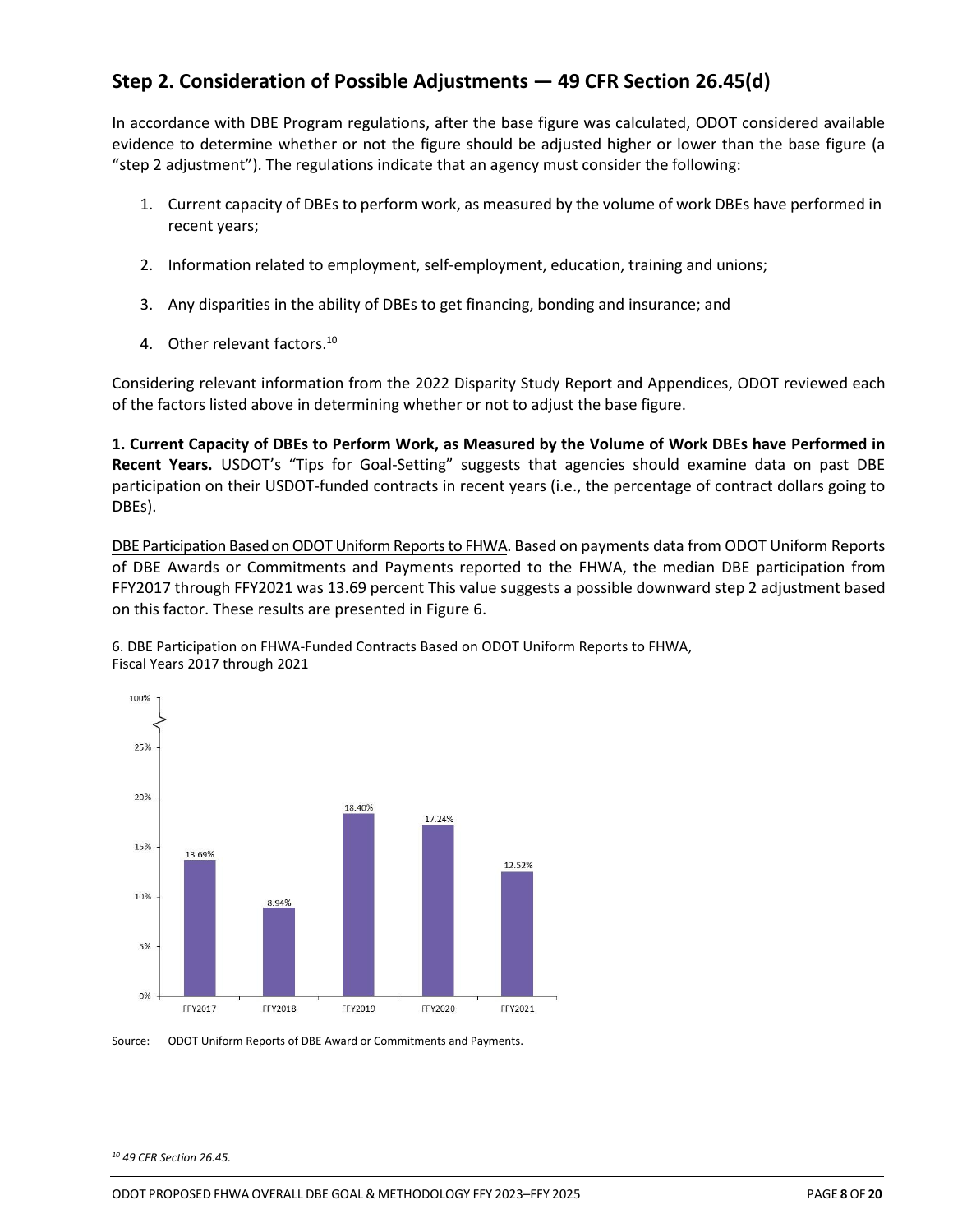## **Step 2. Consideration of Possible Adjustments — 49 CFR Section 26.45(d)**

In accordance with DBE Program regulations, after the base figure was calculated, ODOT considered available evidence to determine whether or not the figure should be adjusted higher or lower than the base figure (a "step 2 adjustment"). The regulations indicate that an agency must consider the following:

- 1. Current capacity of DBEs to perform work, as measured by the volume of work DBEs have performed in recent years;
- 2. Information related to employment, self-employment, education, training and unions;
- 3. Any disparities in the ability of DBEs to get financing, bonding and insurance; and
- 4. Other relevant factors.<sup>10</sup>

Considering relevant information from the 2022 Disparity Study Report and Appendices, ODOT reviewed each of the factors listed above in determining whether or not to adjust the base figure.

**1. Current Capacity of DBEs to Perform Work, as Measured by the Volume of Work DBEs have Performed in Recent Years.** USDOT's "Tips for Goal-Setting" suggests that agencies should examine data on past DBE participation on their USDOT-funded contracts in recent years (i.e., the percentage of contract dollars going to DBEs).

DBE Participation Based on ODOTUniform Reports to FHWA. Based on payments data from ODOT Uniform Reports of DBE Awards or Commitments and Payments reported to the FHWA, the median DBE participation from FFY2017 through FFY2021 was 13.69 percent This value suggests a possible downward step 2 adjustment based on this factor. These results are presented in Figure 6.





Source: ODOT Uniform Reports of DBE Award or Commitments and Payments.

*<sup>10</sup> 49 CFR Section 26.45.*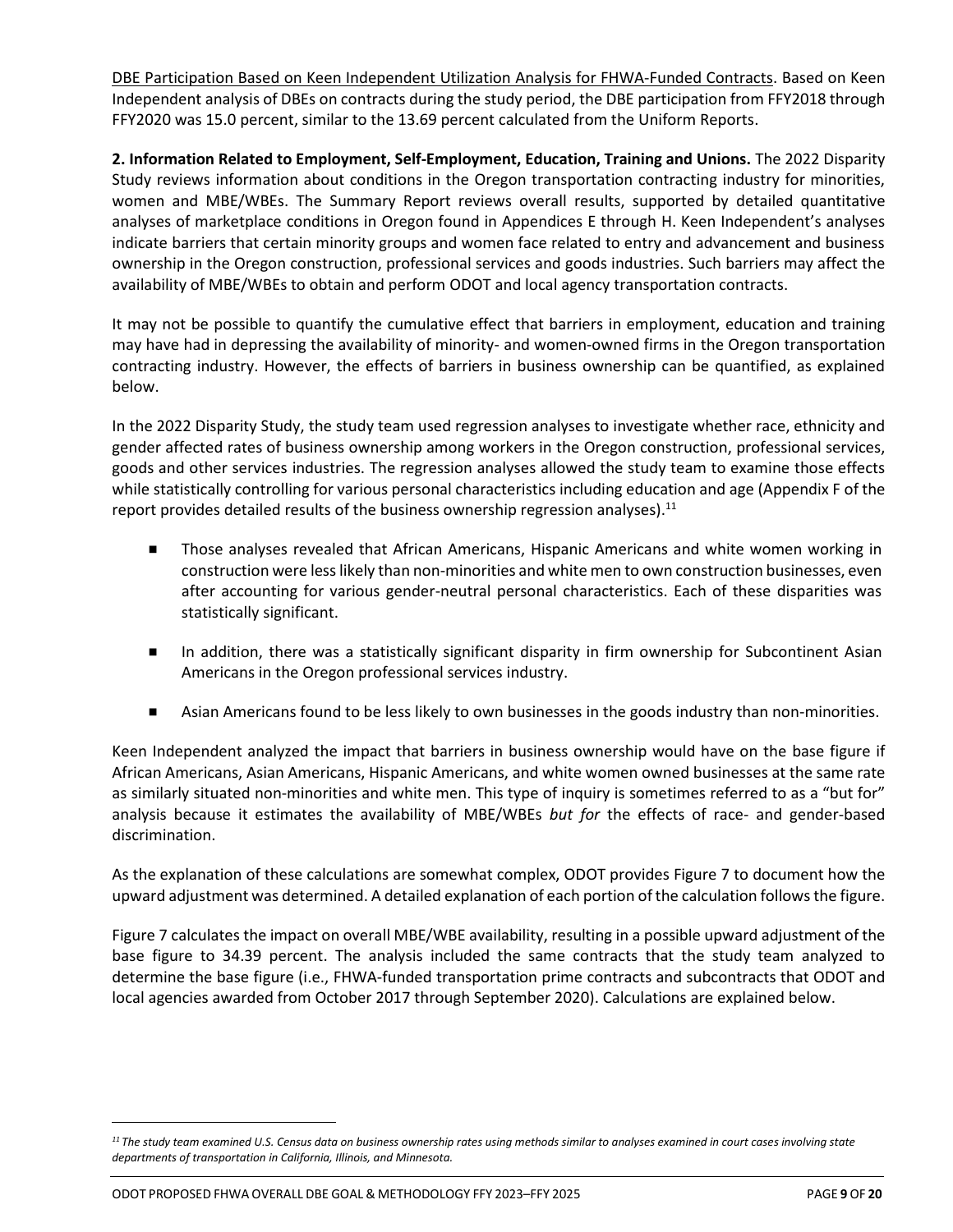DBE Participation Based on Keen Independent Utilization Analysis for FHWA-Funded Contracts. Based on Keen Independent analysis of DBEs on contracts during the study period, the DBE participation from FFY2018 through FFY2020 was 15.0 percent, similar to the 13.69 percent calculated from the Uniform Reports.

**2. Information Related to Employment, Self-Employment, Education, Training and Unions.** The 2022 Disparity Study reviews information about conditions in the Oregon transportation contracting industry for minorities, women and MBE/WBEs. The Summary Report reviews overall results, supported by detailed quantitative analyses of marketplace conditions in Oregon found in Appendices E through H. Keen Independent's analyses indicate barriers that certain minority groups and women face related to entry and advancement and business ownership in the Oregon construction, professional services and goods industries. Such barriers may affect the availability of MBE/WBEs to obtain and perform ODOT and local agency transportation contracts.

It may not be possible to quantify the cumulative effect that barriers in employment, education and training may have had in depressing the availability of minority- and women-owned firms in the Oregon transportation contracting industry. However, the effects of barriers in business ownership can be quantified, as explained below.

In the 2022 Disparity Study, the study team used regression analyses to investigate whether race, ethnicity and gender affected rates of business ownership among workers in the Oregon construction, professional services, goods and other services industries. The regression analyses allowed the study team to examine those effects while statistically controlling for various personal characteristics including education and age (Appendix F of the report provides detailed results of the business ownership regression analyses).<sup>11</sup>

- Those analyses revealed that African Americans, Hispanic Americans and white women working in construction were less likely than non-minorities and white men to own construction businesses, even after accounting for various gender-neutral personal characteristics. Each of these disparities was statistically significant.
- In addition, there was a statistically significant disparity in firm ownership for Subcontinent Asian Americans in the Oregon professional services industry.
- Asian Americans found to be less likely to own businesses in the goods industry than non-minorities.

Keen Independent analyzed the impact that barriers in business ownership would have on the base figure if African Americans, Asian Americans, Hispanic Americans, and white women owned businesses at the same rate as similarly situated non-minorities and white men. This type of inquiry is sometimes referred to as a "but for" analysis because it estimates the availability of MBE/WBEs *but for* the effects of race- and gender-based discrimination.

As the explanation of these calculations are somewhat complex, ODOT provides Figure 7 to document how the upward adjustment was determined. A detailed explanation of each portion of the calculation follows the figure.

Figure 7 calculates the impact on overall MBE/WBE availability, resulting in a possible upward adjustment of the base figure to 34.39 percent. The analysis included the same contracts that the study team analyzed to determine the base figure (i.e., FHWA-funded transportation prime contracts and subcontracts that ODOT and local agencies awarded from October 2017 through September 2020). Calculations are explained below.

*<sup>11</sup> The study team examined U.S. Census data on business ownership rates using methods similar to analyses examined in court cases involving state departments of transportation in California, Illinois, and Minnesota.*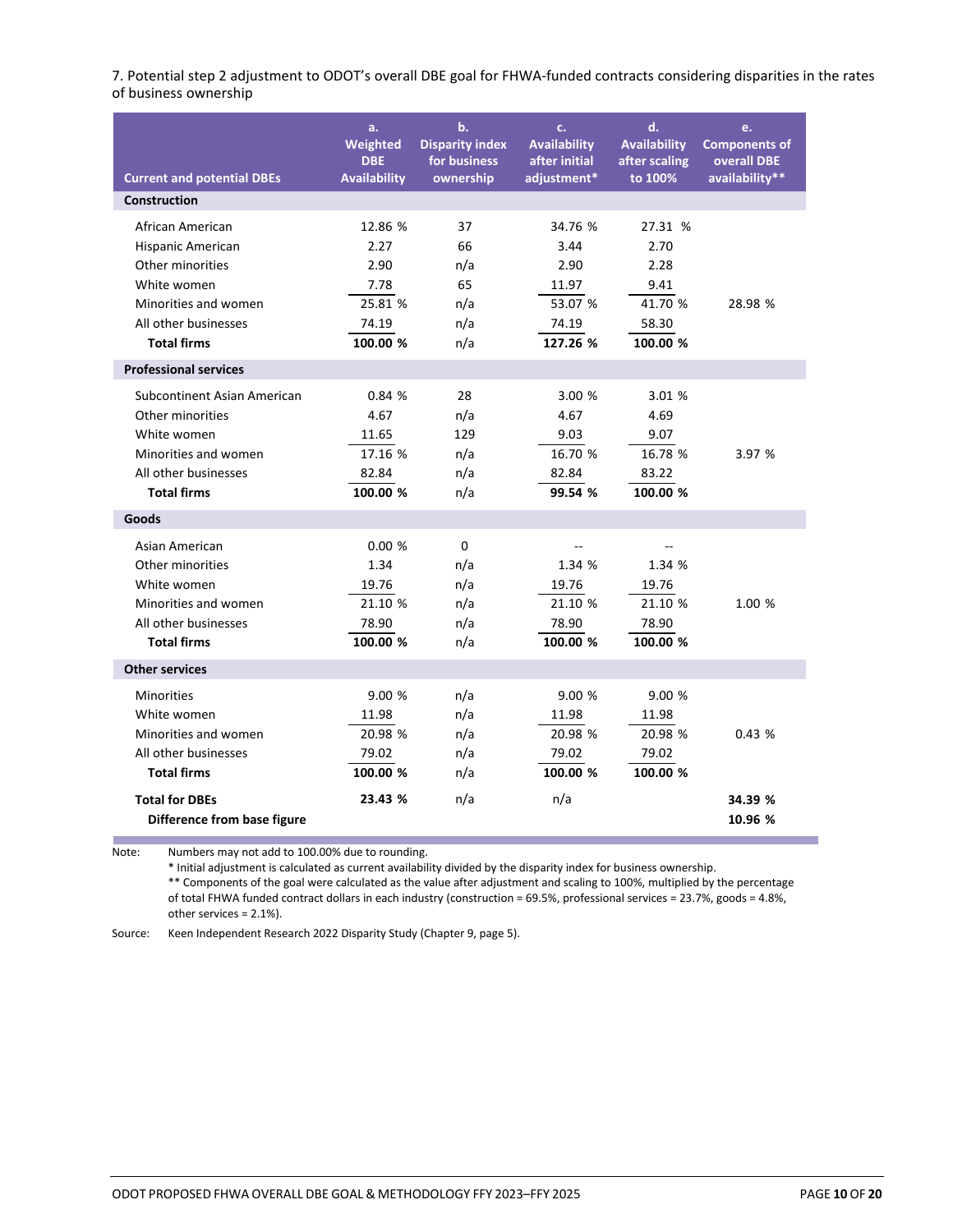7. Potential step 2 adjustment to ODOT's overall DBE goal for FHWA-funded contracts considering disparities in the rates of business ownership

| <b>Current and potential DBEs</b> | a.<br>Weighted<br><b>DBE</b><br><b>Availability</b> | b.<br><b>Disparity index</b><br>for business<br>ownership | c.<br><b>Availability</b><br>after initial<br>adjustment* | d.<br><b>Availability</b><br>after scaling<br>to 100% | e.<br><b>Components of</b><br>overall DBE<br>availability** |
|-----------------------------------|-----------------------------------------------------|-----------------------------------------------------------|-----------------------------------------------------------|-------------------------------------------------------|-------------------------------------------------------------|
| <b>Construction</b>               |                                                     |                                                           |                                                           |                                                       |                                                             |
|                                   |                                                     |                                                           |                                                           |                                                       |                                                             |
| African American                  | 12.86 %                                             | 37                                                        | 34.76 %                                                   | 27.31 %                                               |                                                             |
| Hispanic American                 | 2.27                                                | 66                                                        | 3.44                                                      | 2.70                                                  |                                                             |
| Other minorities                  | 2.90                                                | n/a                                                       | 2.90                                                      | 2.28                                                  |                                                             |
| White women                       | 7.78                                                | 65                                                        | 11.97                                                     | 9.41                                                  |                                                             |
| Minorities and women              | 25.81 %                                             | n/a                                                       | 53.07 %                                                   | 41.70 %                                               | 28.98 %                                                     |
| All other businesses              | 74.19                                               | n/a                                                       | 74.19                                                     | 58.30                                                 |                                                             |
| <b>Total firms</b>                | 100.00 %                                            | n/a                                                       | 127.26 %                                                  | 100.00 %                                              |                                                             |
| <b>Professional services</b>      |                                                     |                                                           |                                                           |                                                       |                                                             |
| Subcontinent Asian American       | 0.84%                                               | 28                                                        | 3.00 %                                                    | 3.01 %                                                |                                                             |
| Other minorities                  | 4.67                                                | n/a                                                       | 4.67                                                      | 4.69                                                  |                                                             |
| White women                       | 11.65                                               | 129                                                       | 9.03                                                      | 9.07                                                  |                                                             |
| Minorities and women              | 17.16 %                                             | n/a                                                       | 16.70 %                                                   | 16.78 %                                               | 3.97 %                                                      |
| All other businesses              | 82.84                                               | n/a                                                       | 82.84                                                     | 83.22                                                 |                                                             |
| <b>Total firms</b>                | 100.00 %                                            | n/a                                                       | 99.54 %                                                   | 100.00 %                                              |                                                             |
| Goods                             |                                                     |                                                           |                                                           |                                                       |                                                             |
| Asian American                    | 0.00%                                               | $\Omega$                                                  | $\overline{a}$                                            |                                                       |                                                             |
| Other minorities                  | 1.34                                                | n/a                                                       | 1.34 %                                                    | 1.34 %                                                |                                                             |
| White women                       | 19.76                                               | n/a                                                       | 19.76                                                     | 19.76                                                 |                                                             |
| Minorities and women              | 21.10 %                                             | n/a                                                       | 21.10 %                                                   | 21.10 %                                               | 1.00 %                                                      |
| All other businesses              | 78.90                                               | n/a                                                       | 78.90                                                     | 78.90                                                 |                                                             |
| <b>Total firms</b>                | 100.00 %                                            | n/a                                                       | 100.00 %                                                  | 100.00 %                                              |                                                             |
| <b>Other services</b>             |                                                     |                                                           |                                                           |                                                       |                                                             |
| <b>Minorities</b>                 | 9.00%                                               | n/a                                                       | 9.00%                                                     | 9.00%                                                 |                                                             |
| White women                       | 11.98                                               | n/a                                                       | 11.98                                                     | 11.98                                                 |                                                             |
| Minorities and women              | 20.98 %                                             | n/a                                                       | 20.98 %                                                   | 20.98 %                                               | 0.43%                                                       |
| All other businesses              | 79.02                                               | n/a                                                       | 79.02                                                     | 79.02                                                 |                                                             |
| <b>Total firms</b>                | 100.00 %                                            | n/a                                                       | 100.00 %                                                  | 100.00 %                                              |                                                             |
| <b>Total for DBEs</b>             | 23.43 %                                             | n/a                                                       | n/a                                                       |                                                       | 34.39 %                                                     |
| Difference from base figure       |                                                     |                                                           |                                                           |                                                       | 10.96 %                                                     |

Note: Numbers may not add to 100.00% due to rounding.

\* Initial adjustment is calculated as current availability divided by the disparity index for business ownership.

\*\* Components of the goal were calculated as the value after adjustment and scaling to 100%, multiplied by the percentage of total FHWA funded contract dollars in each industry (construction = 69.5%, professional services = 23.7%, goods = 4.8%, other services = 2.1%).

Source: Keen Independent Research 2022 Disparity Study (Chapter 9, page 5).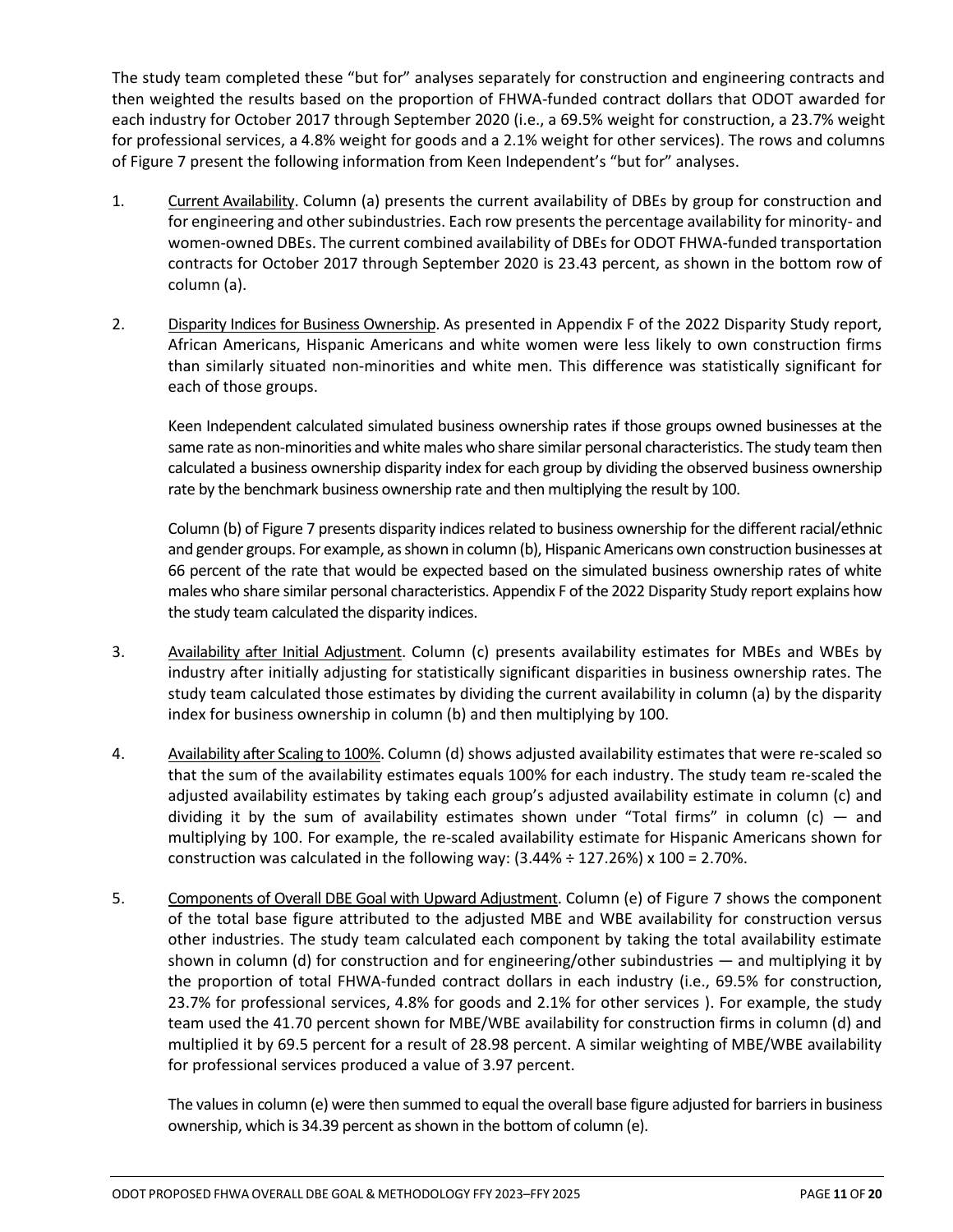The study team completed these "but for" analyses separately for construction and engineering contracts and then weighted the results based on the proportion of FHWA-funded contract dollars that ODOT awarded for each industry for October 2017 through September 2020 (i.e., a 69.5% weight for construction, a 23.7% weight for professional services, a 4.8% weight for goods and a 2.1% weight for other services). The rows and columns of Figure 7 present the following information from Keen Independent's "but for" analyses.

- 1. Current Availability. Column (a) presents the current availability of DBEs by group for construction and for engineering and other subindustries. Each row presents the percentage availability for minority- and women-owned DBEs. The current combined availability of DBEs for ODOT FHWA-funded transportation contracts for October 2017 through September 2020 is 23.43 percent, as shown in the bottom row of column (a).
- 2. Disparity Indices for Business Ownership. As presented in Appendix F of the 2022 Disparity Study report, African Americans, Hispanic Americans and white women were less likely to own construction firms than similarly situated non-minorities and white men. This difference was statistically significant for each of those groups.

Keen Independent calculated simulated business ownership rates if those groups owned businesses at the same rate as non-minorities and white males who share similar personal characteristics. The study team then calculated a business ownership disparity index for each group by dividing the observed business ownership rate by the benchmark business ownership rate and then multiplying the result by 100.

Column (b) of Figure 7 presents disparity indices related to business ownership for the different racial/ethnic and gender groups. For example, as shown in column (b), Hispanic Americans own construction businesses at 66 percent of the rate that would be expected based on the simulated business ownership rates of white males who share similar personal characteristics. Appendix F of the 2022 Disparity Study report explains how the study team calculated the disparity indices.

- 3. Availability after Initial Adjustment. Column (c) presents availability estimates for MBEs and WBEs by industry after initially adjusting for statistically significant disparities in business ownership rates. The study team calculated those estimates by dividing the current availability in column (a) by the disparity index for business ownership in column (b) and then multiplying by 100.
- 4. Availability after Scaling to 100%. Column (d) shows adjusted availability estimates that were re-scaled so that the sum of the availability estimates equals 100% for each industry. The study team re-scaled the adjusted availability estimates by taking each group's adjusted availability estimate in column (c) and dividing it by the sum of availability estimates shown under "Total firms" in column (c) — and multiplying by 100. For example, the re-scaled availability estimate for Hispanic Americans shown for construction was calculated in the following way:  $(3.44\% \div 127.26\%) \times 100 = 2.70\%$ .
- 5. Components of Overall DBE Goal with Upward Adjustment. Column (e) of Figure 7 shows the component of the total base figure attributed to the adjusted MBE and WBE availability for construction versus other industries. The study team calculated each component by taking the total availability estimate shown in column (d) for construction and for engineering/other subindustries — and multiplying it by the proportion of total FHWA-funded contract dollars in each industry (i.e., 69.5% for construction, 23.7% for professional services, 4.8% for goods and 2.1% for other services ). For example, the study team used the 41.70 percent shown for MBE/WBE availability for construction firms in column (d) and multiplied it by 69.5 percent for a result of 28.98 percent. A similar weighting of MBE/WBE availability for professional services produced a value of 3.97 percent.

The values in column (e) were then summed to equal the overall base figure adjusted for barriers in business ownership, which is 34.39 percent as shown in the bottom of column (e).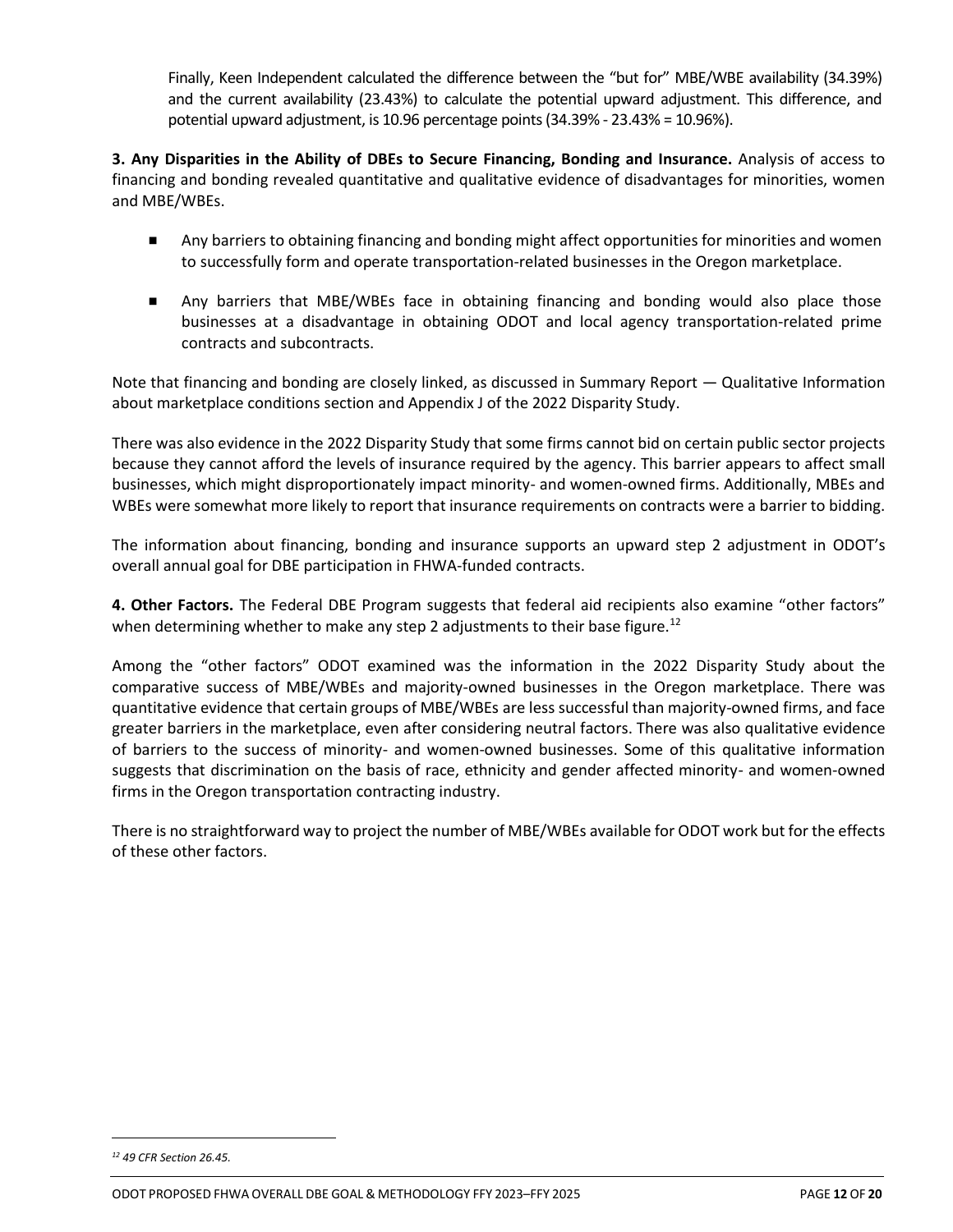Finally, Keen Independent calculated the difference between the "but for" MBE/WBE availability (34.39%) and the current availability (23.43%) to calculate the potential upward adjustment. This difference, and potential upward adjustment, is 10.96 percentage points (34.39% - 23.43% = 10.96%).

**3. Any Disparities in the Ability of DBEs to Secure Financing, Bonding and Insurance.** Analysis of access to financing and bonding revealed quantitative and qualitative evidence of disadvantages for minorities, women and MBE/WBEs.

- Any barriers to obtaining financing and bonding might affect opportunities for minorities and women to successfully form and operate transportation-related businesses in the Oregon marketplace.
- Any barriers that MBE/WBEs face in obtaining financing and bonding would also place those businesses at a disadvantage in obtaining ODOT and local agency transportation-related prime contracts and subcontracts.

Note that financing and bonding are closely linked, as discussed in Summary Report — Qualitative Information about marketplace conditions section and Appendix J of the 2022 Disparity Study.

There was also evidence in the 2022 Disparity Study that some firms cannot bid on certain public sector projects because they cannot afford the levels of insurance required by the agency. This barrier appears to affect small businesses, which might disproportionately impact minority- and women-owned firms. Additionally, MBEs and WBEs were somewhat more likely to report that insurance requirements on contracts were a barrier to bidding.

The information about financing, bonding and insurance supports an upward step 2 adjustment in ODOT's overall annual goal for DBE participation in FHWA-funded contracts.

**4. Other Factors.** The Federal DBE Program suggests that federal aid recipients also examine "other factors" when determining whether to make any step 2 adjustments to their base figure.<sup>12</sup>

Among the "other factors" ODOT examined was the information in the 2022 Disparity Study about the comparative success of MBE/WBEs and majority-owned businesses in the Oregon marketplace. There was quantitative evidence that certain groups of MBE/WBEs are less successful than majority-owned firms, and face greater barriers in the marketplace, even after considering neutral factors. There was also qualitative evidence of barriers to the success of minority- and women-owned businesses. Some of this qualitative information suggests that discrimination on the basis of race, ethnicity and gender affected minority- and women-owned firms in the Oregon transportation contracting industry.

There is no straightforward way to project the number of MBE/WBEs available for ODOT work but for the effects of these other factors.

*<sup>12</sup> 49 CFR Section 26.45.*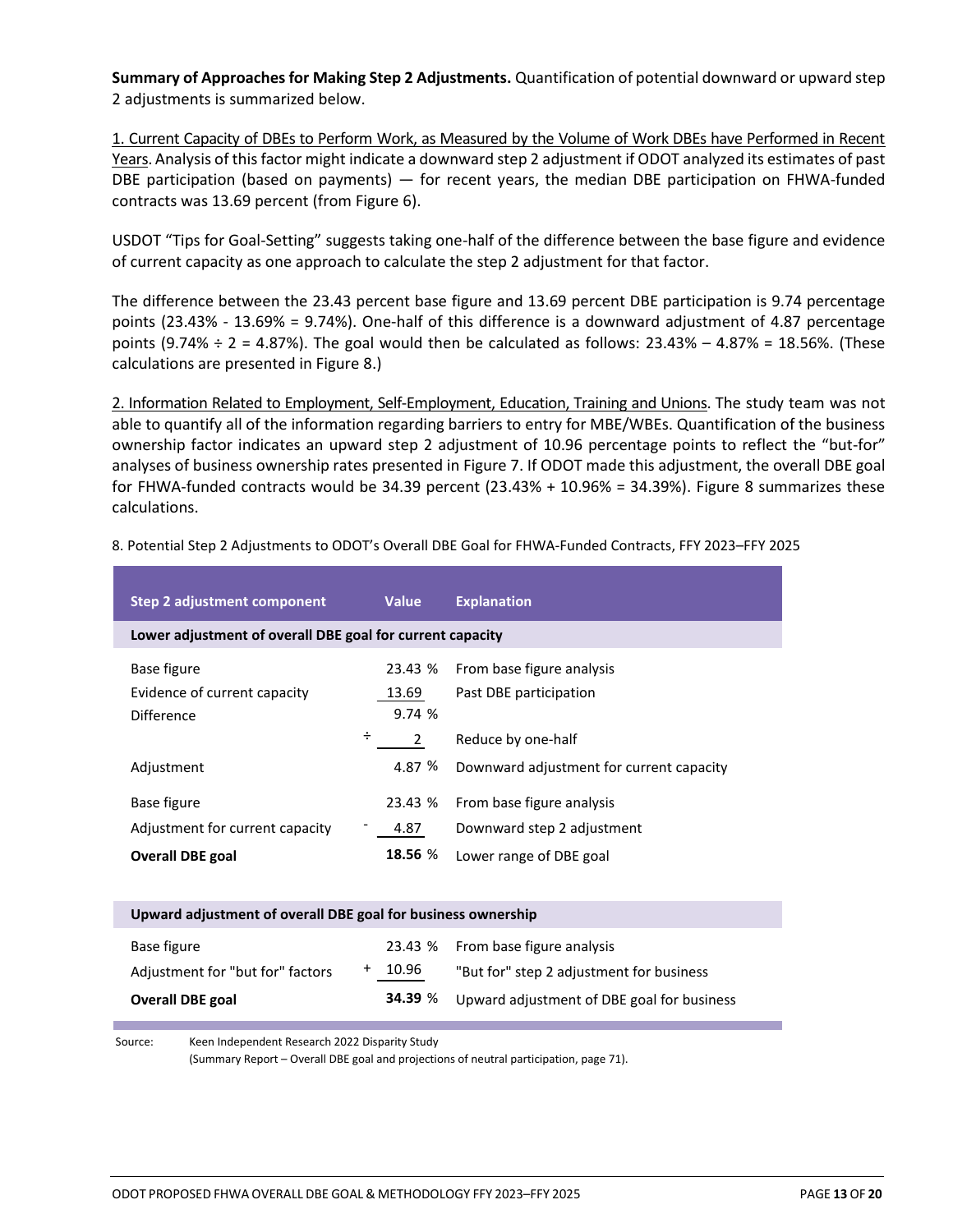**Summary of Approaches for Making Step 2 Adjustments.** Quantification of potential downward or upward step 2 adjustments is summarized below.

1. Current Capacity of DBEs to Perform Work, as Measured by the Volume of Work DBEs have Performed in Recent Years. Analysis of this factor might indicate a downward step 2 adjustment if ODOT analyzed its estimates of past DBE participation (based on payments) — for recent years, the median DBE participation on FHWA-funded contracts was 13.69 percent (from Figure 6).

USDOT "Tips for Goal-Setting" suggests taking one-half of the difference between the base figure and evidence of current capacity as one approach to calculate the step 2 adjustment for that factor.

The difference between the 23.43 percent base figure and 13.69 percent DBE participation is 9.74 percentage points (23.43% - 13.69% = 9.74%). One-half of this difference is a downward adjustment of 4.87 percentage points (9.74%  $\div$  2 = 4.87%). The goal would then be calculated as follows: 23.43% – 4.87% = 18.56%. (These calculations are presented in Figure 8.)

2. Information Related to Employment, Self-Employment, Education, Training and Unions. The study team was not able to quantify all of the information regarding barriers to entry for MBE/WBEs. Quantification of the business ownership factor indicates an upward step 2 adjustment of 10.96 percentage points to reflect the "but-for" analyses of business ownership rates presented in Figure 7. If ODOT made this adjustment, the overall DBE goal for FHWA-funded contracts would be 34.39 percent (23.43% + 10.96% = 34.39%). Figure 8 summarizes these calculations.

| Step 2 adjustment component                                  | <b>Value</b> | <b>Explanation</b>                         |
|--------------------------------------------------------------|--------------|--------------------------------------------|
| Lower adjustment of overall DBE goal for current capacity    |              |                                            |
| Base figure                                                  | 23.43 %      | From base figure analysis                  |
| Evidence of current capacity                                 | 13.69        | Past DBE participation                     |
| <b>Difference</b><br>÷                                       | 9.74%        |                                            |
|                                                              | 2            | Reduce by one-half                         |
| Adjustment                                                   | 4.87 %       | Downward adjustment for current capacity   |
| Base figure                                                  | 23.43 %      | From base figure analysis                  |
| Adjustment for current capacity                              | 4.87         | Downward step 2 adjustment                 |
| <b>Overall DBE goal</b>                                      | 18.56 %      | Lower range of DBE goal                    |
|                                                              |              |                                            |
| Upward adjustment of overall DBE goal for business ownership |              |                                            |
| Base figure                                                  | 23.43 %      | From base figure analysis                  |
| $\ddot{}$<br>Adjustment for "but for" factors                | 10.96        | "But for" step 2 adjustment for business   |
| <b>Overall DBE goal</b>                                      | 34.39 %      | Upward adjustment of DBE goal for business |

8. Potential Step 2 Adjustments to ODOT's Overall DBE Goal for FHWA-Funded Contracts, FFY 2023–FFY 2025

Source: Keen Independent Research 2022 Disparity Study

(Summary Report – Overall DBE goal and projections of neutral participation, page 71).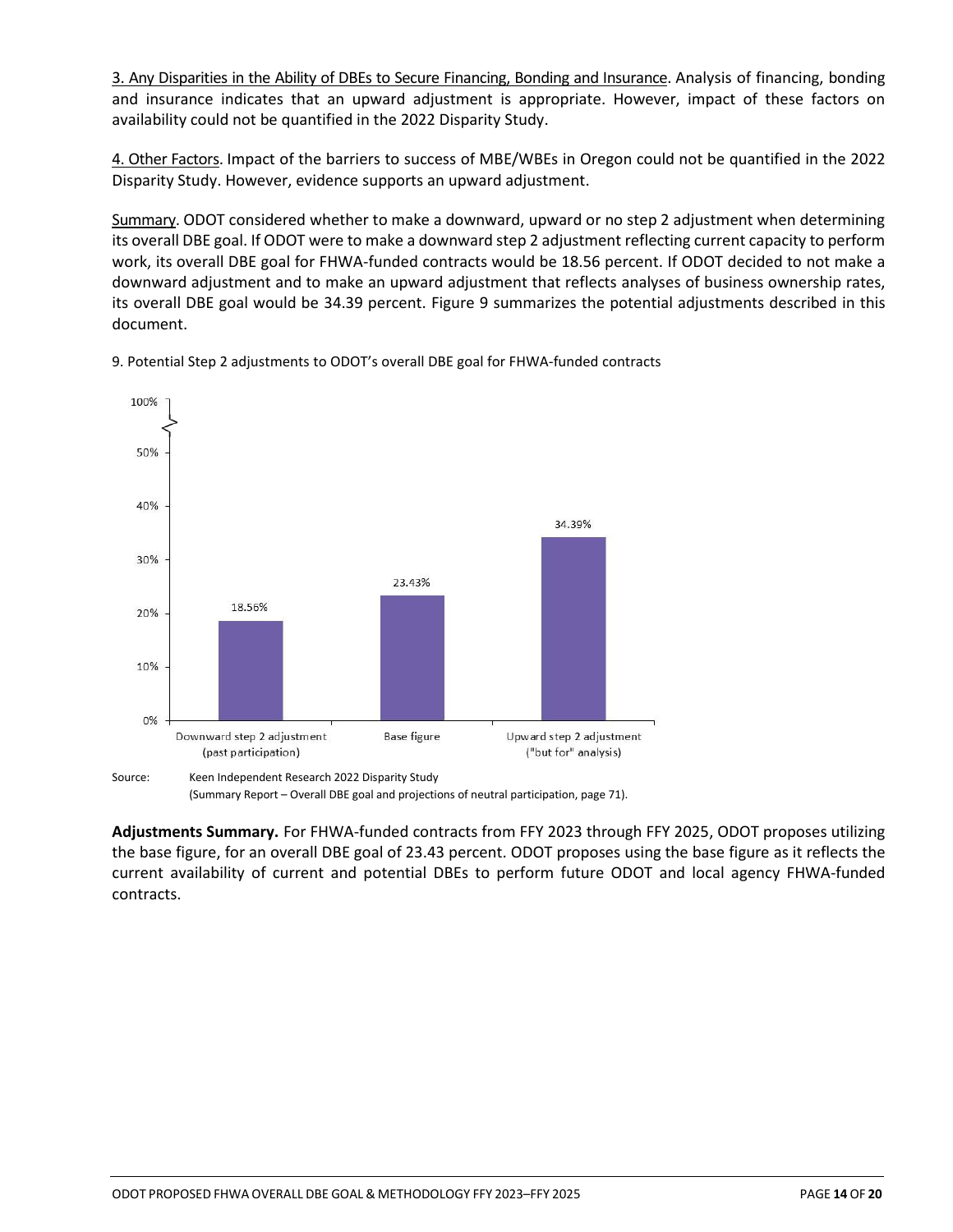3. Any Disparities in the Ability of DBEs to Secure Financing, Bonding and Insurance. Analysis of financing, bonding and insurance indicates that an upward adjustment is appropriate. However, impact of these factors on availability could not be quantified in the 2022 Disparity Study.

4. Other Factors. Impact of the barriers to success of MBE/WBEs in Oregon could not be quantified in the 2022 Disparity Study. However, evidence supports an upward adjustment.

Summary. ODOT considered whether to make a downward, upward or no step 2 adjustment when determining its overall DBE goal. If ODOT were to make a downward step 2 adjustment reflecting current capacity to perform work, its overall DBE goal for FHWA-funded contracts would be 18.56 percent. If ODOT decided to not make a downward adjustment and to make an upward adjustment that reflects analyses of business ownership rates, its overall DBE goal would be 34.39 percent. Figure 9 summarizes the potential adjustments described in this document.



9. Potential Step 2 adjustments to ODOT's overall DBE goal for FHWA-funded contracts

**Adjustments Summary.** For FHWA-funded contracts from FFY 2023 through FFY 2025, ODOT proposes utilizing the base figure, for an overall DBE goal of 23.43 percent. ODOT proposes using the base figure as it reflects the current availability of current and potential DBEs to perform future ODOT and local agency FHWA-funded

contracts.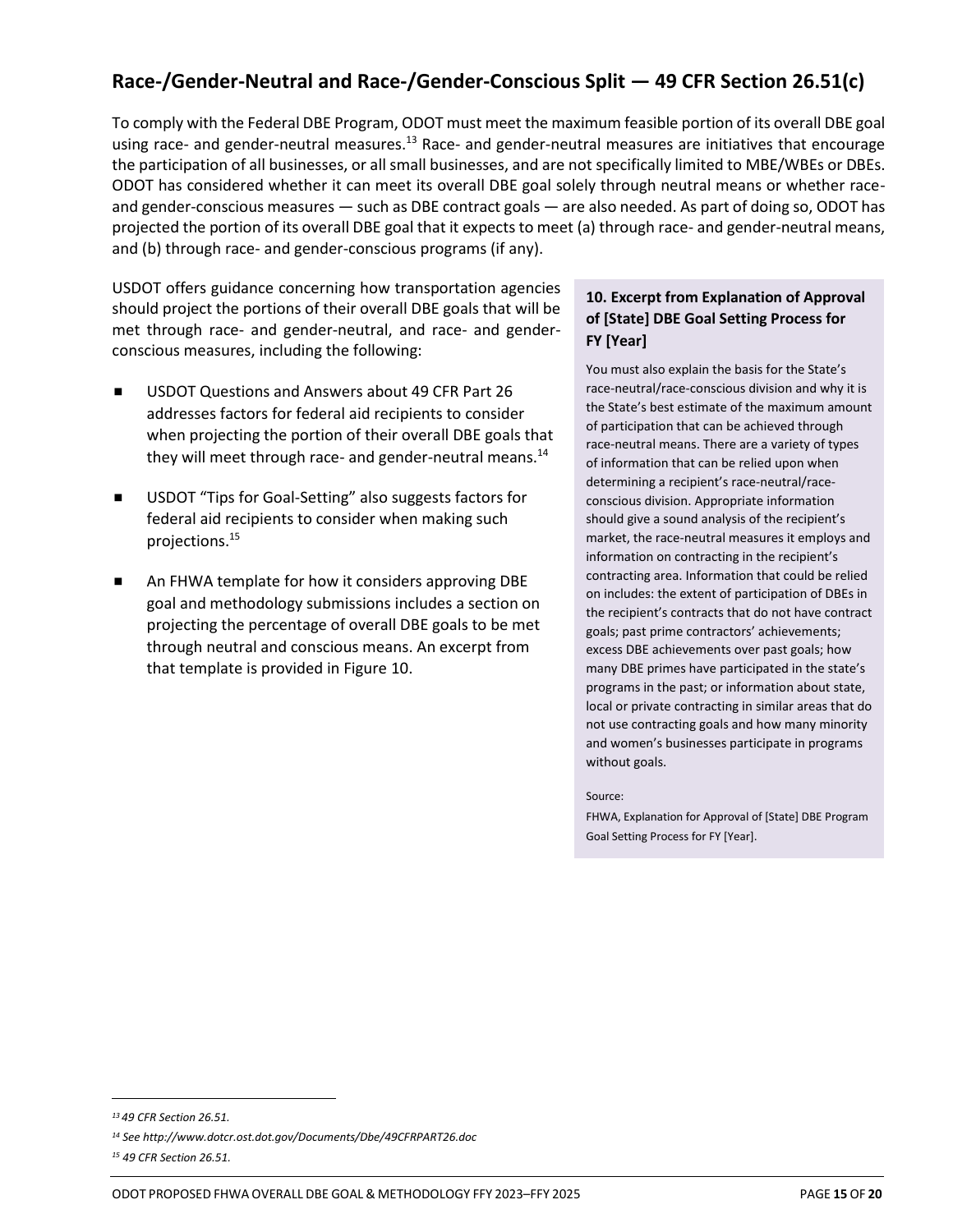# **Race-/Gender-Neutral and Race-/Gender-Conscious Split — 49 CFR Section 26.51(c)**

To comply with the Federal DBE Program, ODOT must meet the maximum feasible portion of its overall DBE goal using race- and gender-neutral measures.<sup>13</sup> Race- and gender-neutral measures are initiatives that encourage the participation of all businesses, or all small businesses, and are not specifically limited to MBE/WBEs or DBEs. ODOT has considered whether it can meet its overall DBE goal solely through neutral means or whether raceand gender-conscious measures — such as DBE contract goals — are also needed. As part of doing so, ODOT has projected the portion of its overall DBE goal that it expects to meet (a) through race- and gender-neutral means, and (b) through race- and gender-conscious programs (if any).

USDOT offers guidance concerning how transportation agencies should project the portions of their overall DBE goals that will be met through race- and gender-neutral, and race- and genderconscious measures, including the following:

- USDOT Questions and Answers about 49 CFR Part 26 addresses factors for federal aid recipients to consider when projecting the portion of their overall DBE goals that they will meet through race- and gender-neutral means.<sup>14</sup>
- USDOT "Tips for Goal-Setting" also suggests factors for federal aid recipients to consider when making such projections.<sup>15</sup>
- An FHWA template for how it considers approving DBE goal and methodology submissions includes a section on projecting the percentage of overall DBE goals to be met through neutral and conscious means. An excerpt from that template is provided in Figure 10.

### **10. Excerpt from Explanation of Approval of [State] DBE Goal Setting Process for FY [Year]**

You must also explain the basis for the State's race-neutral/race-conscious division and why it is the State's best estimate of the maximum amount of participation that can be achieved through race-neutral means. There are a variety of types of information that can be relied upon when determining a recipient's race-neutral/raceconscious division. Appropriate information should give a sound analysis of the recipient's market, the race-neutral measures it employs and information on contracting in the recipient's contracting area. Information that could be relied on includes: the extent of participation of DBEs in the recipient's contracts that do not have contract goals; past prime contractors' achievements; excess DBE achievements over past goals; how many DBE primes have participated in the state's programs in the past; or information about state, local or private contracting in similar areas that do not use contracting goals and how many minority and women's businesses participate in programs without goals.

#### Source:

FHWA, Explanation for Approval of [State] DBE Program Goal Setting Process for FY [Year].

*<sup>13</sup> 49 CFR Section 26.51.* 

*<sup>14</sup> See http://www.dotcr.ost.dot.gov/Documents/Dbe/49CFRPART26.doc* 

*<sup>15</sup> 49 CFR Section 26.51.*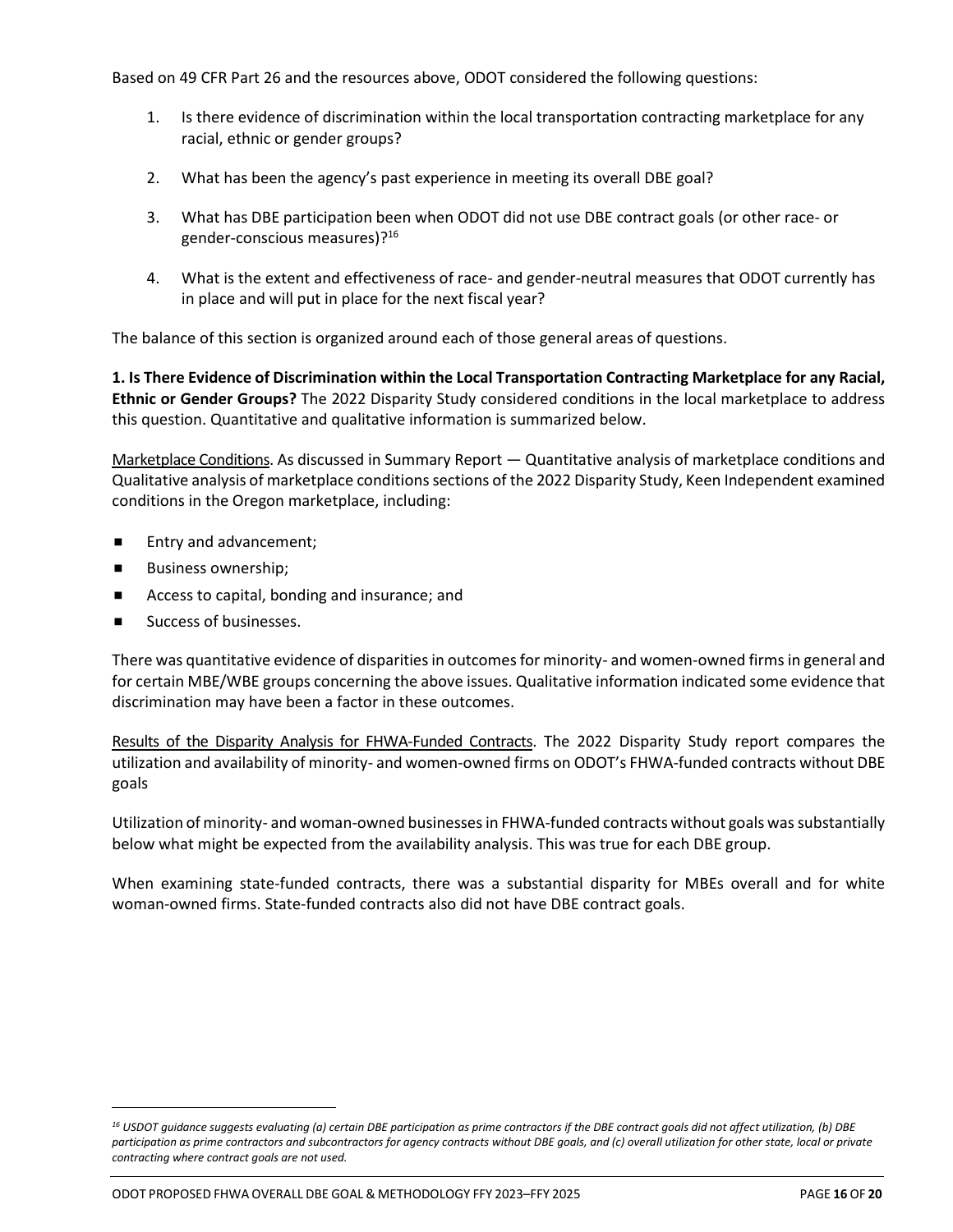Based on 49 CFR Part 26 and the resources above, ODOT considered the following questions:

- 1. Is there evidence of discrimination within the local transportation contracting marketplace for any racial, ethnic or gender groups?
- 2. What has been the agency's past experience in meeting its overall DBE goal?
- 3. What has DBE participation been when ODOT did not use DBE contract goals (or other race- or gender-conscious measures)? 16
- 4. What is the extent and effectiveness of race- and gender-neutral measures that ODOT currently has in place and will put in place for the next fiscal year?

The balance of this section is organized around each of those general areas of questions.

**1. Is There Evidence of Discrimination within the Local Transportation Contracting Marketplace for any Racial, Ethnic or Gender Groups?** The 2022 Disparity Study considered conditions in the local marketplace to address this question. Quantitative and qualitative information is summarized below.

Marketplace Conditions. As discussed in Summary Report — Quantitative analysis of marketplace conditions and Qualitative analysis of marketplace conditions sections of the 2022 Disparity Study, Keen Independent examined conditions in the Oregon marketplace, including:

- Entry and advancement;
- **Business ownership;**
- Access to capital, bonding and insurance; and
- Success of businesses.

There was quantitative evidence of disparities in outcomes for minority- and women-owned firms in general and for certain MBE/WBE groups concerning the above issues. Qualitative information indicated some evidence that discrimination may have been a factor in these outcomes.

Results of the Disparity Analysis for FHWA-Funded Contracts. The 2022 Disparity Study report compares the utilization and availability of minority- and women-owned firms on ODOT's FHWA-funded contracts without DBE goals

Utilization of minority- and woman-owned businesses in FHWA-funded contracts without goals was substantially below what might be expected from the availability analysis. This was true for each DBE group.

When examining state-funded contracts, there was a substantial disparity for MBEs overall and for white woman-owned firms. State-funded contracts also did not have DBE contract goals.

*<sup>16</sup> USDOT guidance suggests evaluating (a) certain DBE participation as prime contractors if the DBE contract goals did not affect utilization, (b) DBE participation as prime contractors and subcontractors for agency contracts without DBE goals, and (c) overall utilization for other state, local or private contracting where contract goals are not used.*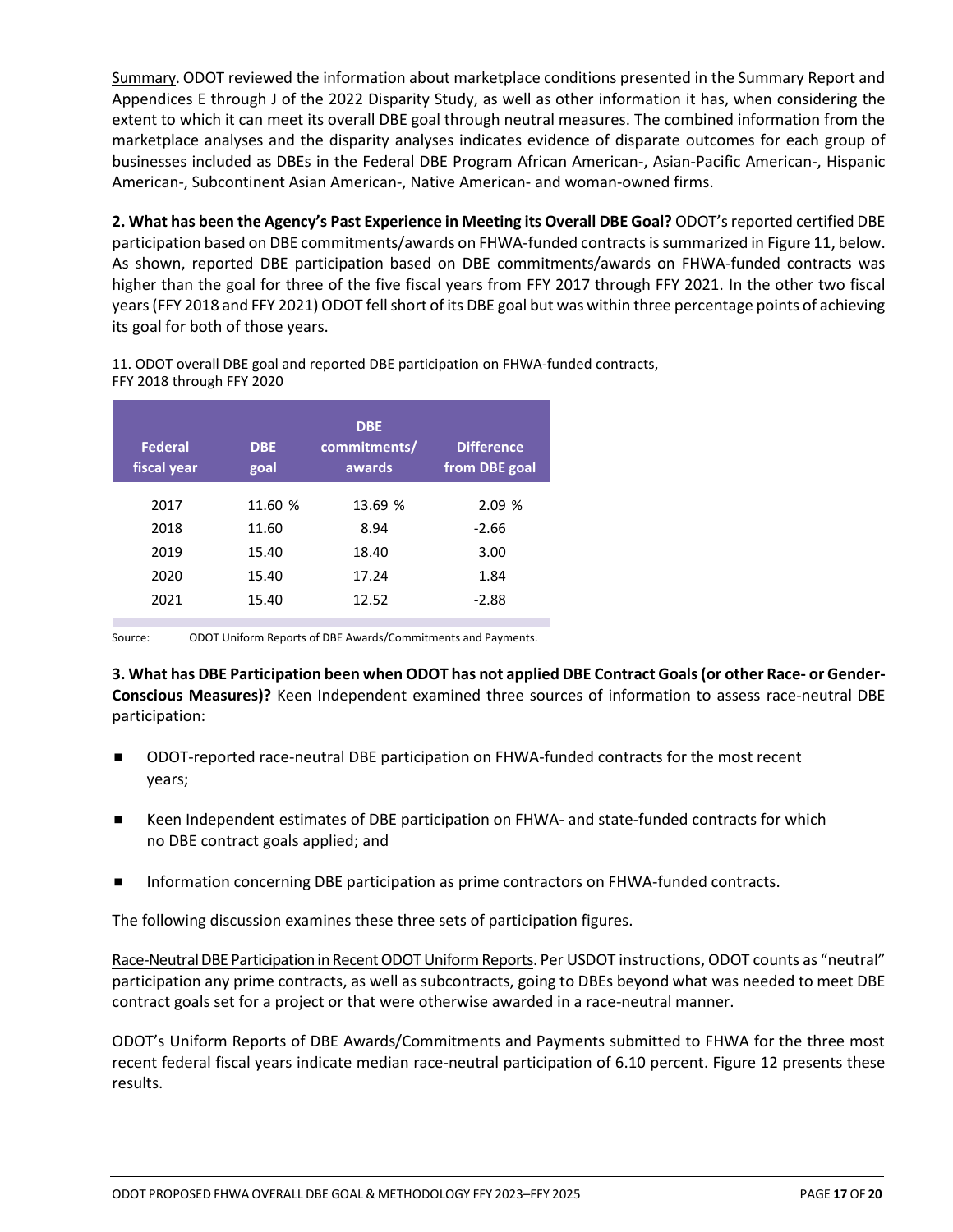Summary. ODOT reviewed the information about marketplace conditions presented in the Summary Report and Appendices E through J of the 2022 Disparity Study, as well as other information it has, when considering the extent to which it can meet its overall DBE goal through neutral measures. The combined information from the marketplace analyses and the disparity analyses indicates evidence of disparate outcomes for each group of businesses included as DBEs in the Federal DBE Program African American-, Asian-Pacific American-, Hispanic American-, Subcontinent Asian American-, Native American- and woman-owned firms.

**2. What has been the Agency's Past Experience in Meeting its Overall DBE Goal?** ODOT's reported certified DBE participation based on DBE commitments/awards on FHWA-funded contractsis summarized in Figure 11, below. As shown, reported DBE participation based on DBE commitments/awards on FHWA-funded contracts was higher than the goal for three of the five fiscal years from FFY 2017 through FFY 2021. In the other two fiscal years (FFY 2018 and FFY 2021) ODOT fell short of its DBE goal but was within three percentage points of achieving its goal for both of those years.

11. ODOT overall DBE goal and reported DBE participation on FHWA-funded contracts, FFY 2018 through FFY 2020

| <b>Federal</b><br>fiscal year | <b>DBE</b><br>goal | <b>DBE</b><br>commitments/<br>awards | <b>Difference</b><br>from DBE goal |
|-------------------------------|--------------------|--------------------------------------|------------------------------------|
| 2017                          | 11.60 %            | 13.69 %                              | 2.09%                              |
| 2018                          | 11.60              | 8.94                                 | $-2.66$                            |
| 2019                          | 15.40              | 18.40                                | 3.00                               |
| 2020                          | 15.40              | 17.24                                | 1.84                               |
| 2021                          | 15.40              | 12.52                                | -2.88                              |

Source: ODOT Uniform Reports of DBE Awards/Commitments and Payments.

**3. What has DBE Participation been when ODOT has not applied DBE Contract Goals (or other Race- or Gender-Conscious Measures)?** Keen Independent examined three sources of information to assess race-neutral DBE participation:

- ODOT-reported race-neutral DBE participation on FHWA-funded contracts for the most recent years;
- Keen Independent estimates of DBE participation on FHWA- and state-funded contracts for which no DBE contract goals applied; and
- Information concerning DBE participation as prime contractors on FHWA-funded contracts.

The following discussion examines these three sets of participation figures.

Race-Neutral DBE Participation in Recent ODOT Uniform Reports. Per USDOT instructions, ODOT counts as "neutral" participation any prime contracts, as well as subcontracts, going to DBEs beyond what was needed to meet DBE contract goals set for a project or that were otherwise awarded in a race-neutral manner.

ODOT's Uniform Reports of DBE Awards/Commitments and Payments submitted to FHWA for the three most recent federal fiscal years indicate median race-neutral participation of 6.10 percent. Figure 12 presents these results.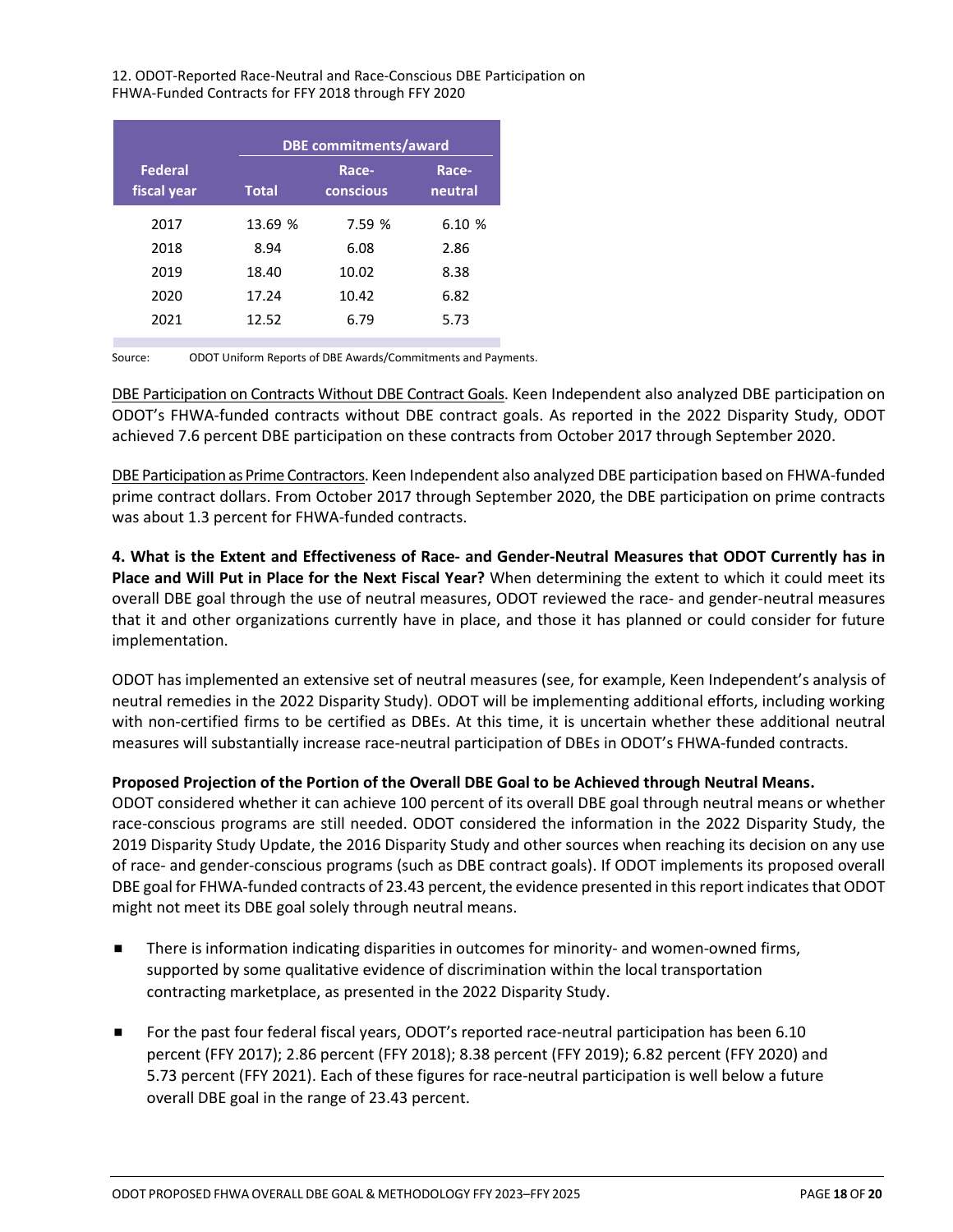#### 12. ODOT-Reported Race-Neutral and Race-Conscious DBE Participation on FHWA-Funded Contracts for FFY 2018 through FFY 2020

|                               |              | <b>DBE</b> commitments/award |                  |  |
|-------------------------------|--------------|------------------------------|------------------|--|
| <b>Federal</b><br>fiscal year | <b>Total</b> | Race-<br>conscious           | Race-<br>neutral |  |
| 2017                          | 13.69 %      | 7.59 %                       | 6.10 %           |  |
| 2018                          | 8.94         | 6.08                         | 2.86             |  |
| 2019                          | 18.40        | 10.02                        | 8.38             |  |
| 2020                          | 17.24        | 10.42                        | 6.82             |  |
| 2021                          | 12.52        | 6.79                         | 5.73             |  |

Source: ODOT Uniform Reports of DBE Awards/Commitments and Payments.

DBE Participation on Contracts Without DBE Contract Goals. Keen Independent also analyzed DBE participation on ODOT's FHWA-funded contracts without DBE contract goals. As reported in the 2022 Disparity Study, ODOT achieved 7.6 percent DBE participation on these contracts from October 2017 through September 2020.

DBE Participation as Prime Contractors. Keen Independent also analyzed DBE participation based on FHWA-funded prime contract dollars. From October 2017 through September 2020, the DBE participation on prime contracts was about 1.3 percent for FHWA-funded contracts.

**4. What is the Extent and Effectiveness of Race- and Gender-Neutral Measures that ODOT Currently has in Place and Will Put in Place for the Next Fiscal Year?** When determining the extent to which it could meet its overall DBE goal through the use of neutral measures, ODOT reviewed the race- and gender-neutral measures that it and other organizations currently have in place, and those it has planned or could consider for future implementation.

ODOT has implemented an extensive set of neutral measures (see, for example, Keen Independent's analysis of neutral remedies in the 2022 Disparity Study). ODOT will be implementing additional efforts, including working with non-certified firms to be certified as DBEs. At this time, it is uncertain whether these additional neutral measures will substantially increase race-neutral participation of DBEs in ODOT's FHWA-funded contracts.

### **Proposed Projection of the Portion of the Overall DBE Goal to be Achieved through Neutral Means.**

ODOT considered whether it can achieve 100 percent of its overall DBE goal through neutral means or whether race-conscious programs are still needed. ODOT considered the information in the 2022 Disparity Study, the 2019 Disparity Study Update, the 2016 Disparity Study and other sources when reaching its decision on any use of race- and gender-conscious programs (such as DBE contract goals). If ODOT implements its proposed overall DBE goal for FHWA-funded contracts of 23.43 percent, the evidence presented in this report indicates that ODOT might not meet its DBE goal solely through neutral means.

- There is information indicating disparities in outcomes for minority- and women-owned firms, supported by some qualitative evidence of discrimination within the local transportation contracting marketplace, as presented in the 2022 Disparity Study.
- For the past four federal fiscal years, ODOT's reported race-neutral participation has been 6.10 percent (FFY 2017); 2.86 percent (FFY 2018); 8.38 percent (FFY 2019); 6.82 percent (FFY 2020) and 5.73 percent (FFY 2021). Each of these figures for race-neutral participation is well below a future overall DBE goal in the range of 23.43 percent.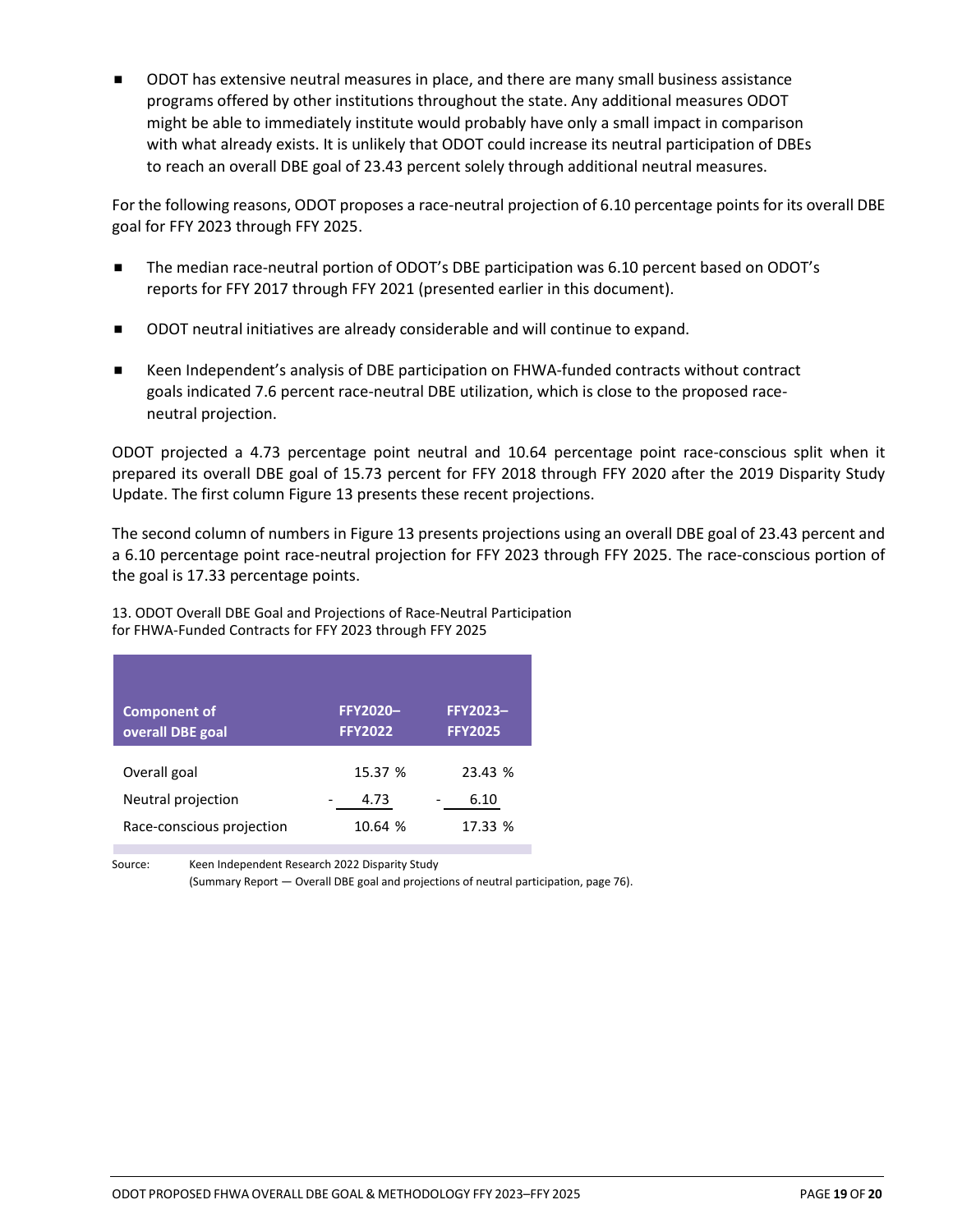ODOT has extensive neutral measures in place, and there are many small business assistance programs offered by other institutions throughout the state. Any additional measures ODOT might be able to immediately institute would probably have only a small impact in comparison with what already exists. It is unlikely that ODOT could increase its neutral participation of DBEs to reach an overall DBE goal of 23.43 percent solely through additional neutral measures.

For the following reasons, ODOT proposes a race-neutral projection of 6.10 percentage points for its overall DBE goal for FFY 2023 through FFY 2025.

- The median race-neutral portion of ODOT's DBE participation was 6.10 percent based on ODOT's reports for FFY 2017 through FFY 2021 (presented earlier in this document).
- ODOT neutral initiatives are already considerable and will continue to expand.
- Keen Independent's analysis of DBE participation on FHWA-funded contracts without contract goals indicated 7.6 percent race-neutral DBE utilization, which is close to the proposed raceneutral projection.

ODOT projected a 4.73 percentage point neutral and 10.64 percentage point race-conscious split when it prepared its overall DBE goal of 15.73 percent for FFY 2018 through FFY 2020 after the 2019 Disparity Study Update. The first column Figure 13 presents these recent projections.

The second column of numbers in Figure 13 presents projections using an overall DBE goal of 23.43 percent and a 6.10 percentage point race-neutral projection for FFY 2023 through FFY 2025. The race-conscious portion of the goal is 17.33 percentage points.

13. ODOT Overall DBE Goal and Projections of Race-Neutral Participation for FHWA-Funded Contracts for FFY 2023 through FFY 2025

| <b>Component of</b><br>overall DBE goal | <b>FFY2020-</b><br><b>FFY2022</b> | <b>FFY2023-</b><br><b>FFY2025</b> |
|-----------------------------------------|-----------------------------------|-----------------------------------|
| Overall goal                            | 15.37 %                           | 23.43 %                           |
| Neutral projection                      | 4.73                              | 6.10                              |
| Race-conscious projection               | 10.64 %                           | 17.33 %                           |

Source: Keen Independent Research 2022 Disparity Study

(Summary Report — Overall DBE goal and projections of neutral participation, page 76).